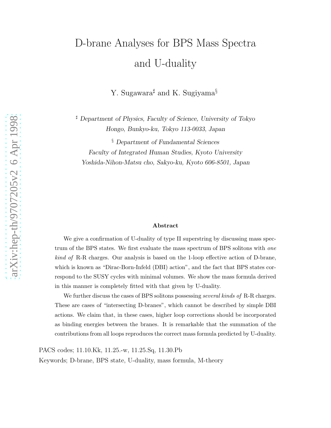# D-brane Analyses for BPS Mass Spectra and U-duality

Y. Sugawara<sup>#</sup> and K. Sugiyama<sup>§</sup>

<sup>♯</sup> Department of Physics, Faculty of Science, University of Tokyo Hongo, Bunkyo-ku, Tokyo 113-0033, Japan

§ Department of Fundamental Sciences Faculty of Integrated Human Studies, Kyoto University Yoshida-Nihon-Matsu cho, Sakyo-ku, Kyoto 606-8501, Japan

#### Abstract

We give a confirmation of U-duality of type II superstring by discussing mass spectrum of the BPS states. We first evaluate the mass spectrum of BPS solitons with one kind of R-R charges. Our analysis is based on the 1-loop effective action of D-brane, which is known as "Dirac-Born-Infeld (DBI) action", and the fact that BPS states correspond to the SUSY cycles with minimal volumes. We show the mass formula derived in this manner is completely fitted with that given by U-duality.

We further discuss the cases of BPS solitons possessing *several kinds of* R-R charges. These are cases of "intersecting D-branes", which cannot be described by simple DBI actions. We claim that, in these cases, higher loop corrections should be incorporated as binding energies between the branes. It is remarkable that the summation of the contributions from all loops reproduces the correct mass formula predicted by U-duality.

PACS codes; 11.10.Kk, 11.25.-w, 11.25.Sq, 11.30.Pb

Keywords; D-brane, BPS state, U-duality, mass formula, M-theory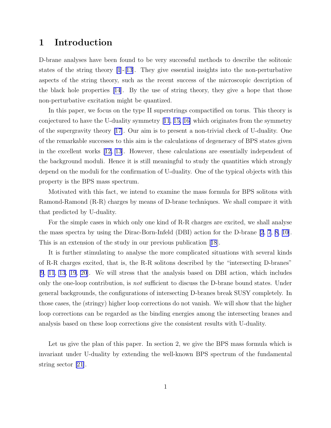## 1 Introduction

D-brane analyses have been found to be very successful methods to describe the solitonic states of the string theory  $[1]-[13]$  $[1]-[13]$  $[1]-[13]$ . They give essential insights into the non-perturbative aspects of the string theory, such as the recent success of the microscopic description of the black hole properties [\[14](#page-43-0)]. By the use of string theory, they give a hope that those non-perturbative excitation might be quantized.

In this paper, we focus on the type II superstrings compactified on torus. This theory is conjectured to have the U-duality symmetry[[11](#page-43-0), [15, 16\]](#page-43-0) which originates from the symmetry of the supergravity theory [\[17\]](#page-43-0). Our aim is to present a non-trivial check of U-duality. One of the remarkable successes to this aim is the calculations of degeneracy of BPS states given in the excellent works[[12, 13](#page-43-0)]. However, these calculations are essentially independent of the background moduli. Hence it is still meaningful to study the quantities which strongly depend on the moduli for the confirmation of U-duality. One of the typical objects with this property is the BPS mass spectrum.

Motivated with this fact, we intend to examine the mass formula for BPS solitons with Ramond-Ramond (R-R) charges by means of D-brane techniques. We shall compare it with that predicted by U-duality.

For the simple cases in which only one kind of R-R charges are excited, we shall analyse the mass spectra by using the Dirac-Born-Infeld (DBI) action for the D-brane [\[2](#page-42-0), [7](#page-42-0), [8, 10\]](#page-42-0). This is an extension of the study in our previous publication[[18](#page-43-0)].

It is further stimulating to analyse the more complicated situations with several kinds of R-R charges excited, that is, the R-R solitons described by the "intersecting D-branes" [\[9](#page-42-0), [11](#page-43-0), [13](#page-43-0), [19](#page-43-0), [20](#page-43-0)]. We will stress that the analysis based on DBI action, which includes only the one-loop contribution, is *not* sufficient to discuss the D-brane bound states. Under general backgrounds, the configurations of intersecting D-branes break SUSY completely. In those cases, the (stringy) higher loop corrections do not vanish. We will show that the higher loop corrections can be regarded as the binding energies among the intersecting branes and analysis based on these loop corrections give the consistent results with U-duality.

Let us give the plan of this paper. In section 2, we give the BPS mass formula which is invariant under U-duality by extending the well-known BPS spectrum of the fundamental string sector [\[21](#page-43-0)].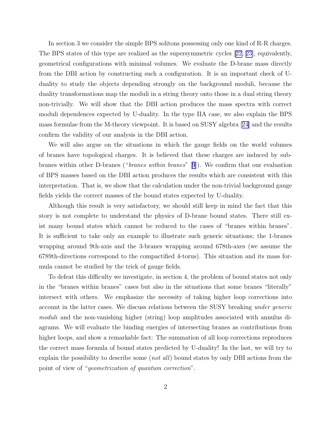In section 3 we consider the simple BPS solitons possessing only one kind of R-R charges. The BPS states of this type are realized as the supersymmetric cycles[[22, 23\]](#page-43-0), equivalently, geometrical configurations with minimal volumes. We evaluate the D-brane mass directly from the DBI action by constructing such a configuration. It is an important check of Uduality to study the objects depending strongly on the background moduli, because the duality transformations map the moduli in a string theory onto those in a dual string theory non-trivially. We will show that the DBI action produces the mass spectra with correct moduli dependences expected by U-duality. In the type IIA case, we also explain the BPS mass formulae from the M-theory viewpoint. It is based on SUSY algebra[[24\]](#page-44-0) and the results confirm the validity of our analysis in the DBI action.

We will also argue on the situations in which the gauge fields on the world volumes of branes have topological charges. It is believed that these charges are induced by subbranes within other D-branes ("branes within branes"[[9](#page-42-0)]). We confirm that our evaluation of BPS masses based on the DBI action produces the results which are consistent with this interpretation. That is, we show that the calculation under the non-trivial background gauge fields yields the correct masses of the bound states expected by U-duality.

Although this result is very satisfactory, we should still keep in mind the fact that this story is not complete to understand the physics of D-brane bound states. There still exist many bound states which cannot be reduced to the cases of "branes within branes". It is sufficient to take only an example to illustrate such generic situations; the 1-branes wrapping around 9th-axis and the 3-branes wrapping around 678th-axes (we assume the 6789th-directions correspond to the compactified 4-torus). This situation and its mass formula cannot be studied by the trick of gauge fields.

To defeat this difficulty we investigate, in section 4, the problem of bound states not only in the "branes within branes" cases but also in the situations that some branes "literally" intersect with others. We emphasize the necessity of taking higher loop corrections into account in the latter cases. We discuss relations between the SUSY breaking under generic moduli and the non-vanishing higher (string) loop amplitudes associated with annulus diagrams. We will evaluate the binding energies of intersecting branes as contributions from higher loops, and show a remarkable fact: The summation of all loop corrections reproduces the correct mass formula of bound states predicted by U-duality! In the last, we will try to explain the possibility to describe some (not all) bound states by only DBI actions from the point of view of "geometrization of quantum correction".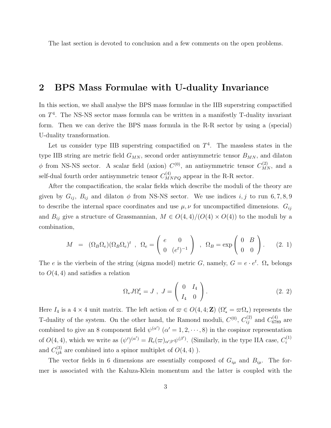<span id="page-3-0"></span>The last section is devoted to conclusion and a few comments on the open problems.

### 2 BPS Mass Formulae with U-duality Invariance

In this section, we shall analyse the BPS mass formulae in the IIB superstring compactified on  $T<sup>4</sup>$ . The NS-NS sector mass formula can be written in a manifestly T-duality invariant form. Then we can derive the BPS mass formula in the R-R sector by using a (special) U-duality transformation.

Let us consider type IIB superstring compactified on  $T<sup>4</sup>$ . The massless states in the type IIB string are metric field  $G_{MN}$ , second order antisymmetric tensor  $B_{MN}$ , and dilaton  $\phi$  from NS-NS sector. A scalar field (axion)  $C^{(0)}$ , an antisymmetric tensor  $C_{MN}^{(2)}$ , and a self-dual fourth order antisymmetric tensor  $C^{(4)}_{MNPQ}$  appear in the R-R sector.

After the compactification, the scalar fields which describe the moduli of the theory are given by  $G_{ij}$ ,  $B_{ij}$  and dilaton  $\phi$  from NS-NS sector. We use indices  $i, j$  to run 6, 7, 8, 9 to describe the internal space coordinates and use  $\mu, \nu$  for uncompactified dimensions.  $G_{ij}$ and  $B_{ij}$  give a structure of Grassmannian,  $M \in O(4,4)/(O(4) \times O(4))$  to the moduli by a combination,

$$
M = (\Omega_B \Omega_e) (\Omega_B \Omega_e)^t , \quad \Omega_e = \begin{pmatrix} e & 0 \\ 0 & (e^t)^{-1} \end{pmatrix} , \quad \Omega_B = \exp \begin{pmatrix} 0 & B \\ 0 & 0 \end{pmatrix} .
$$
 (2. 1)

The e is the vierbein of the string (sigma model) metric G, namely,  $G = e \cdot e^t$ .  $\Omega_*$  belongs to  $O(4, 4)$  and satisfies a relation

$$
\Omega_* J \Omega_*^t = J \ , \ J = \left( \begin{array}{cc} 0 & I_4 \\ I_4 & 0 \end{array} \right). \tag{2.2}
$$

Here  $I_4$  is a  $4 \times 4$  unit matrix. The left action of  $\varpi \in O(4, 4; \mathbb{Z})$   $(\Omega'_* = \varpi \Omega_*)$  represents the T-duality of the system. On the other hand, the Ramond moduli,  $C^{(0)}$ ,  $C^{(2)}_{ij}$  and  $C^{(4)}_{6789}$  are combined to give an 8 component field  $\psi^{(\alpha')}$   $(\alpha' = 1, 2, \dots, 8)$  in the cospinor representation of  $O(4, 4)$ , which we write as  $(\psi')^{(\alpha')} = R_c(\varpi)_{\alpha'\beta'}\psi^{(\beta')}$ . (Similarly, in the type IIA case,  $C_i^{(1)}$ i and  $C_{ijk}^{(3)}$  are combined into a spinor multiplet of  $O(4, 4)$ ).

The vector fields in 6 dimensions are essentially composed of  $G_{i\mu}$  and  $B_{i\mu}$ . The former is associated with the Kaluza-Klein momentum and the latter is coupled with the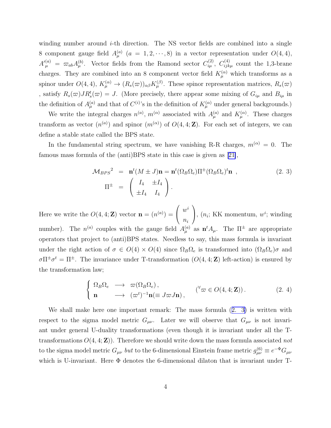<span id="page-4-0"></span>winding number around  $i$ -th direction. The NS vector fields are combined into a single 8 component gauge field  $A_{\mu}^{(a)}$   $(a = 1, 2, \dots, 8)$  in a vector representation under  $O(4, 4)$ ,  $A'^{(a)}_{\mu} = \varpi_{ab} A^{(b)}_{\mu}$ . Vector fields from the Ramond sector  $C^{(2)}_{i\mu}$ ,  $C^{(4)}_{ijk\mu}$  count the 1,3-brane charges. They are combined into an 8 component vector field  $K_{\mu}^{(\alpha)}$  which transforms as a spinor under  $O(4, 4)$ ,  $K_{\mu}^{(\alpha)} \to (R_s(\varpi))_{\alpha\beta} K_{\mu}^{(\beta)}$ . These spinor representation matrices,  $R_s(\varpi)$ , satisfy  $R_s(\varpi)JR_s^t(\varpi)=J$ . (More precisely, there appear some mixing of  $G_{i\mu}$  and  $B_{i\mu}$  in the definition of  $A_{\mu}^{(a)}$  and that of  $C^{(i)}$ 's in the definition of  $K_{\mu}^{(\alpha)}$  under general backgrounds.)

We write the integral charges  $n^{(a)}$ ,  $m^{(\alpha)}$  associated with  $A_{\mu}^{(a)}$  and  $K_{\mu}^{(\alpha)}$ . These charges transform as vector  $(n^{(a)})$  and spinor  $(m^{(\alpha)})$  of  $O(4, 4; \mathbb{Z})$ . For each set of integers, we can define a stable state called the BPS state.

In the fundamental string spectrum, we have vanishing R-R charges,  $m^{(\alpha)} = 0$ . The famous mass formula of the (anti)BPS state in this case is given as[[21\]](#page-43-0),

$$
\mathcal{M}_{BPS}^2 = \mathbf{n}^t (M \pm J) \mathbf{n} = \mathbf{n}^t (\Omega_B \Omega_e) \Pi^{\pm} (\Omega_B \Omega_e)^t \mathbf{n} ,
$$
\n
$$
\Pi^{\pm} = \begin{pmatrix} I_4 & \pm I_4 \\ \pm I_4 & I_4 \end{pmatrix} .
$$
\n(2. 3)

Here we write the  $O(4, 4; \mathbf{Z})$  vector  $\mathbf{n} = (n^{(a)}) =$  $\sqrt{ }$  $\mathcal{L}$  $w^i$  $n_i$  $\setminus$ ,  $(n_i; KK$  momentum,  $w^i$ ; winding number). The  $n^{(a)}$  couples with the gauge field  $A_{\mu}^{(a)}$  as  $n^t A_{\mu}$ . The  $\Pi^{\pm}$  are appropriate operators that project to (anti)BPS states. Needless to say, this mass formula is invariant under the right action of  $\sigma \in O(4) \times O(4)$  since  $\Omega_B \Omega_e$  is transformed into  $(\Omega_B \Omega_e) \sigma$  and  $\sigma \Pi^{\pm} \sigma^t = \Pi^{\pm}$ . The invariance under T-transformation  $(O(4, 4; \mathbb{Z})$  left-action) is ensured by the transformation law;

$$
\begin{cases} \Omega_B \Omega_e \longrightarrow \varpi(\Omega_B \Omega_e), \\ \mathbf{n} \longrightarrow (\varpi^t)^{-1} \mathbf{n} (\equiv J \varpi J \mathbf{n}), \end{cases} \quad (\forall \varpi \in O(4, 4; \mathbf{Z})). \tag{2.4}
$$

We shall make here one important remark: The mass formula (2. 3) is written with respect to the sigma model metric  $G_{\mu\nu}$ . Later we will observe that  $G_{\mu\nu}$  is not invariant under general U-duality transformations (even though it is invariant under all the Ttransformations  $O(4, 4; \mathbb{Z})$ . Therefore we should write down the mass formula associated not to the sigma model metric  $G_{\mu\nu}$  but to the 6-dimensional Einstein frame metric  $g_{\mu\nu}^{(6)} \equiv e^{-\Phi} G_{\mu\nu}$ which is U-invariant. Here  $\Phi$  denotes the 6-dimensional dilaton that is invariant under T-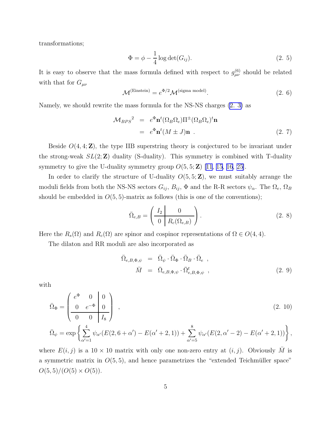<span id="page-5-0"></span>transformations;

$$
\Phi = \phi - \frac{1}{4} \log \det(G_{ij}).
$$
\n(2. 5)

It is easy to observe that the mass formula defined with respect to  $g_{\mu\nu}^{(6)}$  should be related with that for  $G_{\mu\nu}$ 

$$
\mathcal{M}^{(\text{Einstein})} = e^{\Phi/2} \mathcal{M}^{(\text{sigma model})}.
$$
 (2. 6)

Namely, we should rewrite the mass formula for the NS-NS charges [\(2. 3\)](#page-4-0) as

$$
\mathcal{M}_{BPS}^2 = e^{\Phi} \mathbf{n}^t (\Omega_B \Omega_e) \Pi^{\pm} (\Omega_B \Omega_e)^t \mathbf{n}
$$
  
=  $e^{\Phi} \mathbf{n}^t (M \pm J) \mathbf{n}$ . (2. 7)

Beside  $O(4, 4; \mathbb{Z})$ , the type IIB superstring theory is conjectured to be invariant under the strong-weak  $SL(2, \mathbb{Z})$  duality (S-duality). This symmetry is combined with T-duality symmetry to give the U-duality symmetry group  $O(5, 5; \mathbb{Z})$  [\[11](#page-43-0), [15, 16,](#page-43-0) [25\]](#page-44-0).

In order to clarify the structure of U-duality  $O(5, 5; \mathbb{Z})$ , we must suitably arrange the moduli fields from both the NS-NS sectors  $G_{ij}$ ,  $B_{ij}$ ,  $\Phi$  and the R-R sectors  $\psi_{\alpha}$ . The  $\Omega_e$ ,  $\Omega_B$ should be embedded in  $O(5, 5)$ -matrix as follows (this is one of the conventions);

$$
\bar{\Omega}_{e,B} = \left(\begin{array}{c|c} I_2 & 0 \\ \hline 0 & R_c(\Omega_{e,B}) \end{array}\right). \tag{2.8}
$$

Here the  $R_s(\Omega)$  and  $R_c(\Omega)$  are spinor and cospinor representations of  $\Omega \in O(4, 4)$ .

The dilaton and RR moduli are also incorporated as

$$
\begin{array}{rcl}\n\bar{\Omega}_{e,B,\Phi,\psi} & = & \bar{\Omega}_{\psi} \cdot \bar{\Omega}_{\Phi} \cdot \bar{\Omega}_{B} \cdot \bar{\Omega}_{e} \, , \\
\bar{M} & = & \bar{\Omega}_{e,B,\Phi,\psi} \cdot \bar{\Omega}_{e,B,\Phi,\psi}^{t} \, ,\n\end{array} \tag{2.9}
$$

with

$$
\bar{\Omega}_{\Phi} = \begin{pmatrix} e^{\Phi} & 0 & 0 \\ 0 & e^{-\Phi} & 0 \\ 0 & 0 & I_8 \end{pmatrix} , \qquad (2. 10)
$$

$$
\bar{\Omega}_{\psi} = \exp \left\{ \sum_{\alpha'=1}^{4} \psi_{\alpha'}(E(2, 6 + \alpha') - E(\alpha' + 2, 1)) + \sum_{\alpha'=5}^{8} \psi_{\alpha'}(E(2, \alpha' - 2) - E(\alpha' + 2, 1)) \right\},\,
$$

where  $E(i, j)$  is a 10 × 10 matrix with only one non-zero entry at  $(i, j)$ . Obviously M is a symmetric matrix in  $O(5, 5)$ , and hence parametrizes the "extended Teichmüller space"  $O(5,5)/(O(5) \times O(5)).$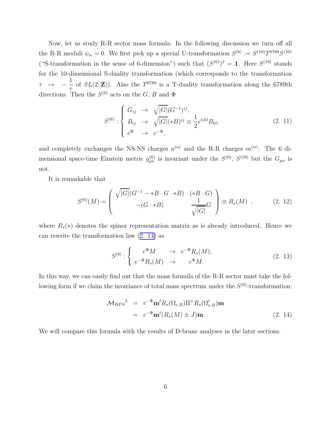<span id="page-6-0"></span>Now, let us study R-R sector mass formula. In the following discussion we turn off all the R-R moduli  $\psi_{\alpha} = 0$ . We first pick up a special U-transformation  $S^{(6)} := S^{(10)}T^{6789}S^{(10)}$ ("S-transformation in the sense of 6-dimension") such that  $(S^{(6)})^2 = 1$ . Here  $S^{(10)}$  stands for the 10-dimensional S-duality transformation (which corresponds to the transformation  $\tau \rightarrow \frac{1}{\pi}$  of  $SL(2;\mathbf{Z})$ ). Also the  $T^{6789}$  is a T-duality transformation along the 6789th τ directions. Then the  $S^{(6)}$  acts on the G, B and  $\Phi$ 

$$
S^{(6)}: \begin{cases} G_{ij} \rightarrow \sqrt{|G|} (G^{-1})^{ij}, \\ B_{ij} \rightarrow \sqrt{|G|} (*B)^{ij} \equiv \frac{1}{2} \epsilon^{ijkl} B_{kl}, \\ e^{\Phi} \rightarrow e^{-\Phi}, \end{cases}
$$
 (2. 11)

and completely exchanges the NS-NS charges  $n^{(a)}$  and the R-R charges  $m^{(\alpha)}$ . The 6 dimensional space-time Einstein metric  $g_{\mu\nu}^{(6)}$  is invariant under the  $S^{(6)}$ ,  $S^{(10)}$  but the  $G_{\mu\nu}$  is not.

It is remarkable that

$$
S^{(6)}(M) = \begin{pmatrix} \sqrt{|G|}(G^{-1} - *B \cdot G \cdot *B) & (*B \cdot G) \\ -(G \cdot *B) & \frac{1}{\sqrt{|G|}}G \end{pmatrix} \equiv R_s(M) , \qquad (2. 12)
$$

where  $R_s(*)$  denotes the spinor representation matrix as is already introduced. Hence we can rewrite the transformation law (2. 11) as

$$
S^{(6)}: \begin{cases} e^{\Phi}M & \to e^{-\Phi}R_s(M), \\ e^{-\Phi}R_s(M) & \to e^{\Phi}M. \end{cases} \tag{2.13}
$$

In this way, we can easily find out that the mass formula of the R-R sector must take the following form if we claim the invariance of total mass spectrum under the  $S^{(6)}$ -transformation;

$$
\mathcal{M}_{BPS}^2 = e^{-\Phi} \mathbf{m}^t R_s(\Omega_{e,B}) \Pi^{\pm} R_s(\Omega_{e,B}^t) \mathbf{m}
$$
  
=  $e^{-\Phi} \mathbf{m}^t (R_s(M) \pm J) \mathbf{m}$ . (2. 14)

We will compare this formula with the results of D-brane analyses in the later sections.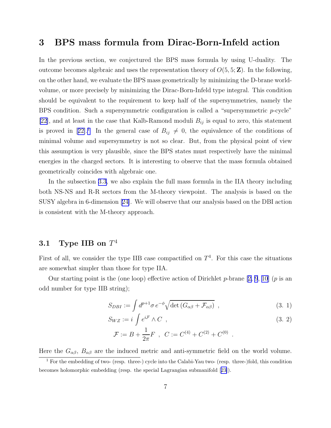## <span id="page-7-0"></span>3 BPS mass formula from Dirac-Born-Infeld action

In the previous section, we conjectured the BPS mass formula by using U-duality. The outcome becomes algebraic and uses the representation theory of  $O(5, 5; \mathbb{Z})$ . In the following, on the other hand, we evaluate the BPS mass geometrically by minimizing the D-brane worldvolume, or more precisely by minimizing the Dirac-Born-Infeld type integral. This condition should be equivalent to the requirement to keep half of the supersymmetries, namely the BPS condition. Such a supersymmetric configuration is called a "supersymmetric p-cycle" [\[22](#page-43-0)], and at least in the case that Kalb-Ramond moduli  $B_{ij}$  is equal to zero, this statement isproved in [[22\]](#page-43-0).<sup>1</sup> In the general case of  $B_{ij} \neq 0$ , the equivalence of the conditions of minimal volume and supersymmetry is not so clear. But, from the physical point of view this assumption is very plausible, since the BPS states must respectively have the minimal energies in the charged sectors. It is interesting to observe that the mass formula obtained geometrically coincides with algebraic one.

In the subsection [3.3,](#page-16-0) we also explain the full mass formula in the IIA theory including both NS-NS and R-R sectors from the M-theory viewpoint. The analysis is based on the SUSY algebra in 6-dimension[[24\]](#page-44-0). We will observe that our analysis based on the DBI action is consistent with the M-theory approach.

## $3.1$  Type IIB on  $T^4$

First of all, we consider the type IIB case compactified on  $T<sup>4</sup>$ . For this case the situations are somewhat simpler than those for type IIA.

Ourstarting point is the (one loop) effective action of Dirichlet  $p$ -brane [[2, 9](#page-42-0), [10\]](#page-42-0) ( $p$  is an odd number for type IIB string);

$$
S_{DBI} := \int d^{p+1}\sigma \, e^{-\phi} \sqrt{\det \left( G_{\alpha\beta} + \mathcal{F}_{\alpha\beta} \right)} \tag{3.1}
$$

$$
S_{WZ} := i \int e^{i\mathcal{F}} \wedge C , \qquad (3.2)
$$

.

$$
\mathcal{F} := B + \frac{1}{2\pi}F , C := C^{(4)} + C^{(2)} + C^{(0)}
$$

Here the  $G_{\alpha\beta}$ ,  $B_{\alpha\beta}$  are the induced metric and anti-symmetric field on the world volume.

<sup>&</sup>lt;sup>1</sup> For the embedding of two- (resp. three-) cycle into the Calabi-Yau two- (resp. three-)fold, this condition becomes holomorphic embedding (resp. the special Lagrangian submanifold[[23\]](#page-43-0)).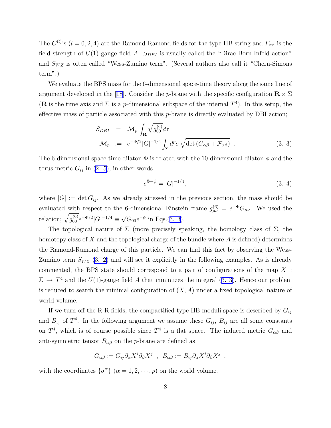<span id="page-8-0"></span>The  $C^{(l)}$ 's  $(l = 0, 2, 4)$  are the Ramond-Ramond fields for the type IIB string and  $F_{\alpha\beta}$  is the field strength of  $U(1)$  gauge field A.  $S_{DBI}$  is usually called the "Dirac-Born-Infeld action" and  $S_{WZ}$  is often called "Wess-Zumino term". (Several authors also call it "Chern-Simons term".)

We evaluate the BPS mass for the 6-dimensional space-time theory along the same line of argument developed in the [\[18](#page-43-0)]. Consider the p-brane with the specific configuration  $\mathbf{R} \times \Sigma$ (**R** is the time axis and  $\Sigma$  is a *p*-dimensional subspace of the internal  $T<sup>4</sup>$ ). In this setup, the effective mass of particle associated with this p-brane is directly evaluated by DBI action;

$$
S_{DBI} = \mathcal{M}_p \int_{\mathbf{R}} \sqrt{g_{00}^{(6)}} d\tau
$$
  

$$
\mathcal{M}_p := e^{-\Phi/2} |G|^{-1/4} \int_{\Sigma} d^p \sigma \sqrt{\det(G_{\alpha\beta} + \mathcal{F}_{\alpha\beta})} .
$$
 (3. 3)

The 6-dimensional space-time dilaton  $\Phi$  is related with the 10-dimensional dilaton  $\phi$  and the torusmetric  $G_{ij}$  in ([2. 5](#page-5-0)), in other words

$$
e^{\Phi - \phi} = |G|^{-1/4},\tag{3.4}
$$

,

where  $|G| := \det G_{ij}$ . As we already stressed in the previous section, the mass should be evaluated with respect to the 6-dimensional Einstein frame  $g_{\mu\nu}^{(6)} = e^{-\Phi} G_{\mu\nu}$ . We used the relation;  $\sqrt{g_{00}^{(6)}}e^{-\Phi/2}|G|^{-1/4} \equiv \sqrt{G_{00}}e^{-\phi}$  in Eqs.(3. 3).

The topological nature of  $\Sigma$  (more precisely speaking, the homology class of  $\Sigma$ , the homotopy class of X and the topological charge of the bundle where  $A$  is defined) determines the Ramond-Ramond charge of this particle. We can find this fact by observing the Wess-Zumino term  $S_{WZ}$  [\(3. 2\)](#page-7-0) and will see it explicitly in the following examples. As is already commented, the BPS state should correspond to a pair of configurations of the map X :  $\Sigma \to T^4$  and the  $U(1)$ -gauge field A that minimizes the integral (3. 3). Hence our problem is reduced to search the minimal configuration of  $(X, A)$  under a fixed topological nature of world volume.

If we turn off the R-R fields, the compactified type IIB moduli space is described by  $G_{ij}$ and  $B_{ij}$  of  $T^4$ . In the following argument we assume these  $G_{ij}$ ,  $B_{ij}$  are all some constants on  $T^4$ , which is of course possible since  $T^4$  is a flat space. The induced metric  $G_{\alpha\beta}$  and anti-symmetric tensor  $B_{\alpha\beta}$  on the *p*-brane are defined as

$$
G_{\alpha\beta} := G_{ij} \partial_{\alpha} X^i \partial_{\beta} X^j \ , \ B_{\alpha\beta} := B_{ij} \partial_{\alpha} X^i \partial_{\beta} X^j
$$

with the coordinates  $\{\sigma^{\alpha}\}\ (\alpha = 1, 2, \dots, p)$  on the world volume.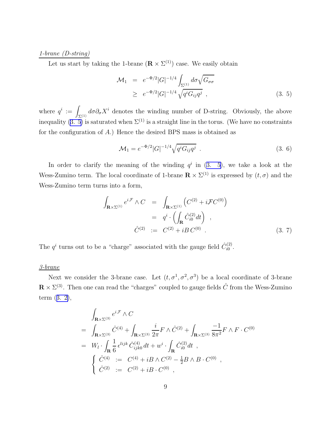#### 1-brane (D-string)

Let us start by taking the 1-brane  $(\mathbf{R} \times \Sigma^{(1)})$  case. We easily obtain

$$
\mathcal{M}_1 = e^{-\Phi/2} |G|^{-1/4} \int_{\Sigma^{(1)}} d\sigma \sqrt{G_{\sigma\sigma}}
$$
  
\n
$$
\geq e^{-\Phi/2} |G|^{-1/4} \sqrt{q^i G_{ij} q^j}, \qquad (3.5)
$$

where  $q^i := \int_{\Sigma^{(1)}} d\sigma \partial_{\sigma} X^i$  denotes the winding number of D-string. Obviously, the above inequality $(3, 5)$  is saturated when  $\Sigma^{(1)}$  is a straight line in the torus. (We have no constraints for the configuration of A.) Hence the desired BPS mass is obtained as

$$
\mathcal{M}_1 = e^{-\Phi/2} |G|^{-1/4} \sqrt{q^i G_{ij} q^j} \tag{3.6}
$$

In order to clarify the meaning of the winding  $q^i$  in  $(3, 5)$ , we take a look at the Wess-Zumino term. The local coordinate of 1-brane  $\mathbf{R} \times \Sigma^{(1)}$  is expressed by  $(t, \sigma)$  and the Wess-Zumino term turns into a form,

$$
\int_{\mathbf{R}\times\Sigma^{(1)}} e^{i\mathcal{F}} \wedge C = \int_{\mathbf{R}\times\Sigma^{(1)}} \left( C^{(2)} + i\mathcal{F}C^{(0)} \right)
$$

$$
= q^i \cdot \left( \int_{\mathbf{R}} \hat{C}^{(2)}_{i0} dt \right) ,
$$

$$
\hat{C}^{(2)} := C^{(2)} + iBC^{(0)} .
$$
(3. 7)

The  $q^i$  turns out to be a "charge" associated with the gauge field  $\hat{C}_{i0}^{(2)}$  $i^{(2)}_{i0}$ .

#### 3-brane

Next we consider the 3-brane case. Let  $(t, \sigma^1, \sigma^2, \sigma^3)$  be a local coordinate of 3-brane  $\mathbf{R} \times \Sigma^{(3)}$ . Then one can read the "charges" coupled to gauge fields  $\hat{C}$  from the Wess-Zumino term([3. 2\)](#page-7-0),

$$
\int_{\mathbf{R}\times\Sigma^{(3)}} e^{i\mathcal{F}} \wedge C
$$
\n
$$
= \int_{\mathbf{R}\times\Sigma^{(3)}} \hat{C}^{(4)} + \int_{\mathbf{R}\times\Sigma^{(3)}} \frac{i}{2\pi} F \wedge \hat{C}^{(2)} + \int_{\mathbf{R}\times\Sigma^{(3)}} \frac{-1}{8\pi^2} F \wedge F \cdot C^{(0)}
$$
\n
$$
= W_l \cdot \int_{\mathbf{R}} \frac{1}{6} \epsilon^{lijk} \hat{C}^{(4)}_{ijk0} dt + w^i \cdot \int_{\mathbf{R}} \hat{C}^{(2)}_{i0} dt ,
$$
\n
$$
\begin{cases} \hat{C}^{(4)} := C^{(4)} + iB \wedge C^{(2)} - \frac{1}{2}B \wedge B \cdot C^{(0)} , \\ \hat{C}^{(2)} := C^{(2)} + iB \cdot C^{(0)} , \end{cases}
$$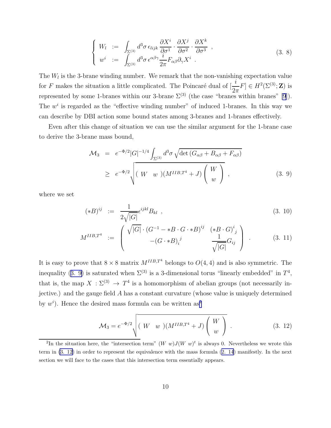$$
\begin{cases}\nW_l := \int_{\Sigma^{(3)}} d^3 \sigma \,\epsilon_{lijk} \frac{\partial X^i}{\partial \sigma^1} \cdot \frac{\partial X^j}{\partial \sigma^2} \cdot \frac{\partial X^k}{\partial \sigma^3} ,\\
w^i := \int_{\Sigma^{(3)}} d^3 \sigma \,\epsilon^{\alpha\beta\gamma} \frac{i}{2\pi} F_{\alpha\beta} \partial_\gamma X^i .\n\end{cases} \tag{3.8}
$$

<span id="page-10-0"></span>The  $W_l$  is the 3-brane winding number. We remark that the non-vanishing expectation value for F makes the situation a little complicated. The Poincaré dual of  $\left[\frac{i}{2}\right]$  $\frac{\iota}{2\pi}F \in H^2(\Sigma^{(3)}; \mathbf{Z})$  is represented by some 1-branes within our 3-brane  $\Sigma^{(3)}$  (the case "branes within branes" [\[9](#page-42-0)]). The  $w<sup>i</sup>$  is regarded as the "effective winding number" of induced 1-branes. In this way we can describe by DBI action some bound states among 3-branes and 1-branes effectively.

Even after this change of situation we can use the similar argument for the 1-brane case to derive the 3-brane mass bound,

$$
\mathcal{M}_3 = e^{-\Phi/2} |G|^{-1/4} \int_{\Sigma^{(3)}} d^3 \sigma \sqrt{\det (G_{\alpha\beta} + B_{\alpha\beta} + F_{\alpha\beta})}
$$
  
\n
$$
\geq e^{-\Phi/2} \sqrt{(W \ w)(M^{IIB,T^4} + J) \begin{pmatrix} W \\ w \end{pmatrix}},
$$
 (3. 9)

where we set

$$
(*B)^{ij} := \frac{1}{2\sqrt{|G|}} \epsilon^{ijkl} B_{kl} , \qquad (3. 10)
$$

$$
M^{IIB,T^4} := \begin{pmatrix} \sqrt{|G|} \cdot (G^{-1} - *B \cdot G \cdot * B)^{ij} & (*B \cdot G)^{i_j} \\ -(G \cdot * B)^{j} & \frac{1}{\sqrt{|G|}} G_{ij} \end{pmatrix} . \tag{3.11}
$$

It is easy to prove that  $8 \times 8$  matrix  $M^{IIB,T4}$  belongs to  $O(4, 4)$  and is also symmetric. The inequality (3. 9) is saturated when  $\Sigma^{(3)}$  is a 3-dimensional torus "linearly embedded" in  $T^4$ , that is, the map  $X : \Sigma^{(3)} \to T^4$  is a homomorphism of abelian groups (not necessarily injective.) and the gauge field A has a constant curvature (whose value is uniquely determined by  $w^i$ ). Hence the desired mass formula can be written as<sup>2</sup>

$$
\mathcal{M}_3 = e^{-\Phi/2} \sqrt{(W \ w)(M^{IIB,T^4} + J) \begin{pmatrix} W \\ w \end{pmatrix}} . \tag{3.12}
$$

<sup>&</sup>lt;sup>2</sup>In the situation here, the "intersection term"  $(W \ w)J(W \ w)^t$  is always 0. Nevertheless we wrote this term in (3. 12) in order to represent the equivalence with the mass formula([2. 14](#page-6-0)) manifestly. In the next section we will face to the cases that this intersection term essentially appears.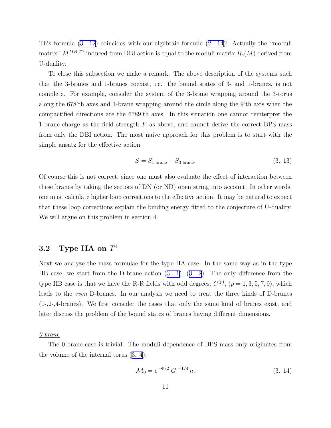<span id="page-11-0"></span>This formula [\(3. 12\)](#page-10-0) coincides with our algebraic formula([2. 14\)](#page-6-0)! Actually the "moduli matrix"  $M^{IIB,T^4}$  induced from DBI action is equal to the moduli matrix  $R_s(M)$  derived from U-duality.

To close this subsection we make a remark: The above description of the systems such that the 3-branes and 1-branes coexist, i.e. the bound states of 3- and 1-branes, is not complete. For example, consider the system of the 3-brane wrapping around the 3-torus along the 678'th axes and 1-brane wrapping around the circle along the 9'th axis when the compactified directions are the 6789'th axes. In this situation one cannot reinterpret the 1-brane charge as the field strength  $F$  as above, and cannot derive the correct BPS mass from only the DBI action. The most naive approach for this problem is to start with the simple ansatz for the effective action

$$
S = S_{1\text{-brane}} + S_{3\text{-brane}}.\tag{3.13}
$$

Of course this is not correct, since one must also evaluate the effect of interaction between these branes by taking the sectors of DN (or ND) open string into account. In other words, one must calculate higher loop corrections to the effective action. It may be natural to expect that these loop corrections explain the binding energy fitted to the conjecture of U-duality. We will argue on this problem in section 4.

## $\mathbf{3.2}\quad \textbf{Type IIA on }T^4$

Next we analyze the mass formulae for the type IIA case. In the same way as in the type IIB case, we start from the D-brane action([3. 1](#page-7-0)),([3. 2](#page-7-0)). The only difference from the type IIB case is that we have the R-R fields with odd degrees;  $C^{(p)}$ ,  $(p = 1, 3, 5, 7, 9)$ , which leads to the even D-branes. In our analysis we need to treat the three kinds of D-branes (0-,2-,4-branes). We first consider the cases that only the same kind of branes exist, and later discuss the problem of the bound states of branes having different dimensions.

#### 0-brane

The 0-brane case is trivial. The moduli dependence of BPS mass only originates from the volume of the internal torus([3. 4](#page-8-0));

$$
\mathcal{M}_0 = e^{-\Phi/2} |G|^{-1/4} n. \tag{3.14}
$$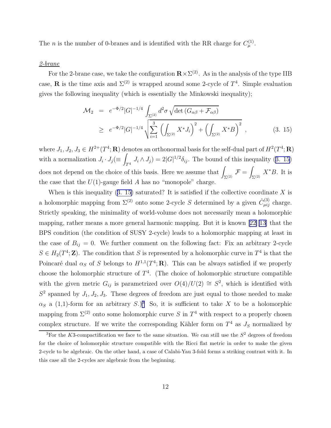<span id="page-12-0"></span>The *n* is the number of 0-branes and is identified with the RR charge for  $C_{\mu}^{(1)}$ .

#### 2-brane

For the 2-brane case, we take the configuration  $\mathbf{R} \times \Sigma^{(2)}$ . As in the analysis of the type IIB case, **R** is the time axis and  $\Sigma^{(2)}$  is wrapped around some 2-cycle of  $T^4$ . Simple evaluation gives the following inequality (which is essentially the Minkowski inequality);

$$
\mathcal{M}_2 = e^{-\Phi/2} |G|^{-1/4} \int_{\Sigma^{(2)}} d^2 \sigma \sqrt{\det (G_{\alpha\beta} + \mathcal{F}_{\alpha\beta})}
$$
  
\n
$$
\geq e^{-\Phi/2} |G|^{-1/4} \sqrt{\sum_{i=1}^3 \left( \int_{\Sigma^{(2)}} X^* J_i \right)^2 + \left( \int_{\Sigma^{(2)}} X^* B \right)^2},
$$
(3. 15)

where  $J_1, J_2, J_3 \in H^{2+}(T^4; \mathbf{R})$  denotes an orthonormal basis for the self-dual part of  $H^2(T^4; \mathbf{R})$ with a normalization  $J_i \cdot J_j (\equiv \int$  $J_i \wedge J_j$  = 2| $G|^{1/2} \delta_{ij}$ . The bound of this inequality (3. 15) does not depend on the choice of this basis. Here we assume that  $\int_{\Sigma^{(2)}} \mathcal{F} = \int$  $\int_{\Sigma^{(2)}} X^* B$ . It is the case that the  $U(1)$ -gauge field A has no "monopole" charge.

When is this inequality  $(3. 15)$  saturated? It is satisfied if the collective coordinate X is a holomorphic mapping from  $\Sigma^{(2)}$  onto some 2-cycle S determined by a given  $\hat{C}_{\mu ij}^{(3)}$  charge. Strictly speaking, the minimality of world-volume does not necessarily mean a holomorphic mapping, rather means a more general harmonic mapping. But it is known [\[22\]\[13](#page-43-0)] that the BPS condition (the condition of SUSY 2-cycle) leads to a holomorphic mapping at least in the case of  $B_{ij} = 0$ . We further comment on the following fact: Fix an arbitrary 2-cycle  $S \in H_2(T^4; \mathbb{Z})$ . The condition that S is represented by a holomorphic curve in  $T^4$  is that the Poincaré dual  $\alpha_S$  of S belongs to  $H^{1,1}(T^4; \mathbf{R})$ . This can be always satisfied if we properly choose the holomorphic structure of  $T<sup>4</sup>$ . (The choice of holomorphic structure compatible with the given metric  $G_{ij}$  is parametrized over  $O(4)/U(2) \cong S^2$ , which is identified with  $S^2$  spanned by  $J_1, J_2, J_3$ . These degrees of freedom are just equal to those needed to make  $\alpha_S$  a (1,1)-form for an arbitrary S.)<sup>3</sup> So, it is sufficient to take X to be a holomorphic mapping from  $\Sigma^{(2)}$  onto some holomorphic curve S in  $T^4$  with respect to a properly chosen complex structure. If we write the corresponding Kähler form on  $T^4$  as  $J_s$  normalized by

<sup>&</sup>lt;sup>3</sup>For the K3-compactification we face to the same situation. We can still use the  $S^2$  degrees of freedom for the choice of holomorphic structure compatible with the Ricci flat metric in order to make the given 2-cycle to be algebraic. On the other hand, a case of Calabi-Yau 3-fold forms a striking contrast with it. In this case all the 2-cycles are algebraic from the beginning.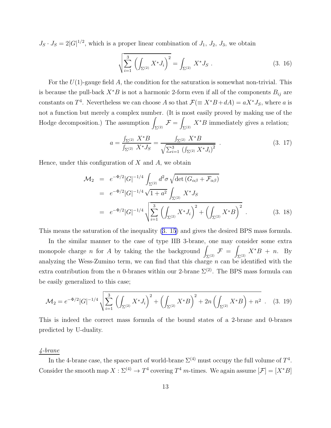<span id="page-13-0"></span> $J_S \cdot J_S = 2|G|^{1/2}$ , which is a proper linear combination of  $J_1$ ,  $J_2$ ,  $J_3$ , we obtain

$$
\sqrt{\sum_{i=1}^{3} \left( \int_{\Sigma^{(2)}} X^* J_i \right)^2} = \int_{\Sigma^{(2)}} X^* J_S . \tag{3.16}
$$

For the  $U(1)$ -gauge field A, the condition for the saturation is somewhat non-trivial. This is because the pull-back  $X^*B$  is not a harmonic 2-form even if all of the components  $B_{ij}$  are constants on  $T^4$ . Nevertheless we can choose A so that  $\mathcal{F}(\equiv X^*B+dA) = aX^*J_S$ , where a is not a function but merely a complex number. (It is most easily proved by making use of the Hodge decomposition.) The assumption  $\int_{\Sigma^{(2)}} \mathcal{F} = \int$  $\int_{\Sigma^{(2)}} X^*B$  immediately gives a relation;

$$
a = \frac{\int_{\Sigma^{(2)}} X^* B}{\int_{\Sigma^{(2)}} X^* J_S} = \frac{\int_{\Sigma^{(2)}} X^* B}{\sqrt{\sum_{i=1}^3 (\int_{\Sigma^{(2)}} X^* J_i)^2}} \tag{3.17}
$$

Hence, under this configuration of  $X$  and  $A$ , we obtain

$$
\mathcal{M}_2 = e^{-\Phi/2} |G|^{-1/4} \int_{\Sigma^{(2)}} d^2 \sigma \sqrt{\det (G_{\alpha\beta} + \mathcal{F}_{\alpha\beta})}
$$
  
\n
$$
= e^{-\Phi/2} |G|^{-1/4} \sqrt{1 + a^2} \int_{\Sigma^{(2)}} X^* J_S
$$
  
\n
$$
= e^{-\Phi/2} |G|^{-1/4} \sqrt{\sum_{i=1}^3 \left( \int_{\Sigma^{(2)}} X^* J_i \right)^2 + \left( \int_{\Sigma^{(2)}} X^* B \right)^2} .
$$
 (3. 18)

This means the saturation of the inequality([3. 15\)](#page-12-0) and gives the desired BPS mass formula.

In the similar manner to the case of type IIB 3-brane, one may consider some extra monopole charge *n* for *A* by taking the the background  $\int_{\Sigma^{(2)}} \mathcal{F} = \int$  $\int_{\Sigma^{(2)}} X^* B + n$ . By analyzing the Wess-Zumino term, we can find that this charge n can be identified with the extra contribution from the n 0-branes within our 2-brane  $\Sigma^{(2)}$ . The BPS mass formula can be easily generalized to this case;

$$
\mathcal{M}_2 = e^{-\Phi/2} |G|^{-1/4} \sqrt{\sum_{i=1}^3 \left( \int_{\Sigma^{(2)}} X^* J_i \right)^2 + \left( \int_{\Sigma^{(2)}} X^* B \right)^2 + 2n \left( \int_{\Sigma^{(2)}} X^* B \right) + n^2} \quad (3.19)
$$

This is indeed the correct mass formula of the bound states of a 2-brane and 0-branes predicted by U-duality.

#### 4-brane

In the 4-brane case, the space-part of world-brane  $\Sigma^{(4)}$  must occupy the full volume of  $T^4$ . Consider the smooth map  $X : \Sigma^{(4)} \to T^4$  covering  $T^4$  m-times. We again assume  $[\mathcal{F}] = [X^*B]$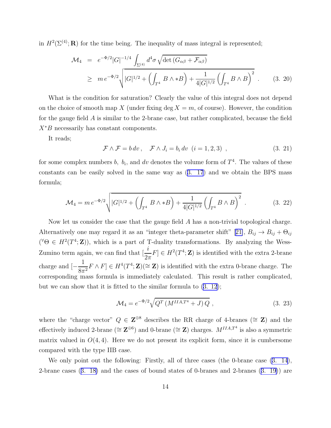<span id="page-14-0"></span>in  $H^2(\Sigma^{(4)}; \mathbf{R})$  for the time being. The inequality of mass integral is represented;

$$
\mathcal{M}_4 = e^{-\Phi/2} |G|^{-1/4} \int_{\Sigma^{(4)}} d^4 \sigma \sqrt{\det (G_{\alpha\beta} + \mathcal{F}_{\alpha\beta})}
$$
  
\n
$$
\geq m e^{-\Phi/2} \sqrt{|G|^{1/2} + \left(\int_{T^4} B \wedge *B\right) + \frac{1}{4|G|^{1/2}} \left(\int_{T^4} B \wedge B\right)^2} .
$$
 (3. 20)

What is the condition for saturation? Clearly the value of this integral does not depend on the choice of smooth map X (under fixing deg  $X = m$ , of course). However, the condition for the gauge field A is similar to the 2-brane case, but rather complicated, because the field  $X^*B$  necessarily has constant components.

It reads;

$$
\mathcal{F} \wedge \mathcal{F} = b dv, \quad \mathcal{F} \wedge J_i = b_i dv \ (i = 1, 2, 3) \tag{3.21}
$$

for some complex numbers b,  $b_i$ , and dv denotes the volume form of  $T^4$ . The values of these constants can be easily solved in the same way as([3. 17](#page-13-0)) and we obtain the BPS mass formula;

$$
\mathcal{M}_4 = m e^{-\Phi/2} \sqrt{|G|^{1/2} + \left(\int_{T^4} B \wedge *B\right) + \frac{1}{4|G|^{1/2}} \left(\int_{T^4} B \wedge B\right)^2} \tag{3.22}
$$

Now let us consider the case that the gauge field A has a non-trivial topological charge. Alternativelyone may regard it as an "integer theta-parameter shift" [[21\]](#page-43-0),  $B_{ij} \rightarrow B_{ij} + \Theta_{ij}$  $({^{\forall}\Theta \in H^2(T^4;\mathbf{Z}}))$ , which is a part of T-duality transformations. By analyzing the Wess-Zumino term again, we can find that  $\left[\frac{i}{2}\right]$  $\frac{\ell}{2\pi}F \in H^2(T^4; \mathbf{Z})$  is identified with the extra 2-brane charge and [− 1  $\frac{1}{8\pi^2}F \wedge F$   $\in H^4(T^4; \mathbf{Z}) \cong \mathbf{Z}$  is identified with the extra 0-brane charge. The corresponding mass formula is immediately calculated. This result is rather complicated, but we can show that it is fitted to the similar formula to([3. 12](#page-10-0));

$$
\mathcal{M}_4 = e^{-\Phi/2} \sqrt{Q^T \left( M^{IIA, T^4} + J \right) Q} \,, \tag{3.23}
$$

where the "charge vector"  $Q \in \mathbb{Z}^{\oplus 8}$  describes the RR charge of 4-branes ( $\cong \mathbb{Z}$ ) and the effectively induced 2-brane ( $\cong \mathbb{Z}^{\oplus 6}$ ) and 0-brane ( $\cong \mathbb{Z}$ ) charges.  $M^{IIA,T^4}$  is also a symmetric matrix valued in  $O(4, 4)$ . Here we do not present its explicit form, since it is cumbersome compared with the type IIB case.

We only point out the following: Firstly, all of three cases (the 0-brane case [\(3. 14](#page-11-0)), 2-brane cases([3. 18\)](#page-13-0) and the cases of bound states of 0-branes and 2-branes([3. 19\)](#page-13-0)) are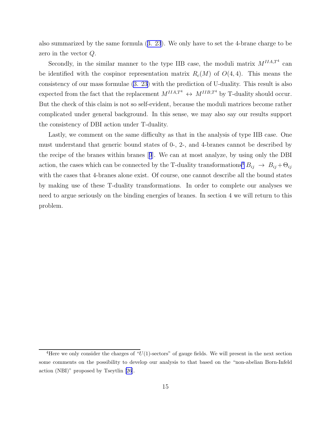also summarized by the same formula([3. 23](#page-14-0)). We only have to set the 4-brane charge to be zero in the vector Q.

Secondly, in the similar manner to the type IIB case, the moduli matrix  $M^{IIA,T^4}$  can be identified with the cospinor representation matrix  $R_c(M)$  of  $O(4, 4)$ . This means the consistency of our mass formulae [\(3. 23](#page-14-0)) with the prediction of U-duality. This result is also expected from the fact that the replacement  $M^{IIA,T^4} \leftrightarrow M^{IIB,T^4}$  by T-duality should occur. But the check of this claim is not so self-evident, because the moduli matrices become rather complicated under general background. In this sense, we may also say our results support the consistency of DBI action under T-duality.

Lastly, we comment on the same difficulty as that in the analysis of type IIB case. One must understand that generic bound states of 0-, 2-, and 4-branes cannot be described by the recipe of the branes within branes[[9](#page-42-0)]. We can at most analyze, by using only the DBI action, the cases which can be connected by the T-duality transformations<sup>4</sup>  $B_{ij}$   $\rightarrow$   $B_{ij} + \Theta_{ij}$ with the cases that 4-branes alone exist. Of course, one cannot describe all the bound states by making use of these T-duality transformations. In order to complete our analyses we need to argue seriously on the binding energies of branes. In section 4 we will return to this problem.

<sup>&</sup>lt;sup>4</sup>Here we only consider the charges of " $U(1)$ -sectors" of gauge fields. We will present in the next section some comments on the possibility to develop our analysis to that based on the "non-abelian Born-Infeld action (NBI)" proposed by Tseytlin [\[26](#page-44-0)].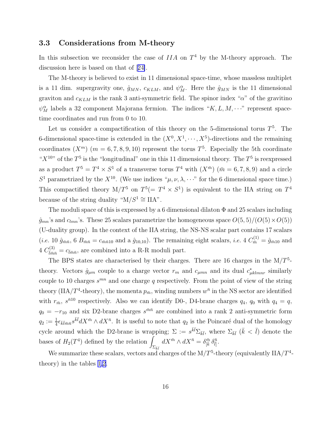#### <span id="page-16-0"></span>3.3 Considerations from M-theory

In this subsection we reconsider the case of  $IIA$  on  $T<sup>4</sup>$  by the M-theory approach. The discussion here is based on that of[[24\]](#page-44-0).

The M-theory is believed to exist in 11 dimensional space-time, whose massless multiplet is a 11 dim. supergravity one,  $\hat{g}_{MN}$ ,  $c_{KLM}$ , and  $\psi_M^{\alpha}$ . Here the  $\hat{g}_{MN}$  is the 11 dimensional graviton and  $c_{KLM}$  is the rank 3 anti-symmetric field. The spinor index " $\alpha$ " of the gravitino  $\psi_M^{\alpha}$  labels a 32 component Majorana fermion. The indices " $K, L, M, \cdots$ " represent spacetime coordinates and run from 0 to 10.

Let us consider a compactification of this theory on the 5-dimensional torus  $T^5$ . The 6-dimensional space-time is extended in the  $(X^0, X^1, \dots, X^5)$ -directions and the remaining coordinates  $(X^m)$   $(m = 6, 7, 8, 9, 10)$  represent the torus  $T^5$ . Especially the 5th coordinate " $X^{10}$ " of the  $T^5$  is the "longitudinal" one in this 11 dimensional theory. The  $T^5$  is reexpressed as a product  $T^5 = T^4 \times S^1$  of a transverse torus  $T^4$  with  $(X^{\bar{m}})$   $(\bar{m} = 6, 7, 8, 9)$  and a circle  $S^1$  parametrized by the  $X^{10}$ . (We use indices " $\mu, \nu, \lambda, \cdots$ " for the 6 dimensional space time.) This compactified theory  $M/T^5$  on  $T^5(= T^4 \times S^1)$  is equivalent to the IIA string on  $T^4$ because of the string duality " $M/S^1 \cong \text{IIA}$ ".

The moduli space of this is expressed by a 6 dimensional dilaton  $\Phi$  and 25 scalars including  $\hat{g}_{mn}$ 's and  $c_{lmn}$ 's. These 25 scalars parametrize the homogeneous space  $O(5, 5)/(O(5) \times O(5))$ (U-duality group). In the context of the IIA string, the NS-NS scalar part contains 17 scalars (*i.e.* 10  $\hat{g}_{\bar{m}\bar{n}}$ , 6  $B_{\bar{m}\bar{n}} = c_{\bar{m}\bar{n}10}$  and a  $\hat{g}_{10,10}$ ). The remaining eight scalars, *i.e.* 4  $C_{\bar{m}}^{(1)} = \hat{g}_{\bar{m}10}$  and  $4 C^{(3)}_{\bar{l}\bar{m}\bar{n}} = c_{\bar{l}\bar{m}\bar{n}}$ , are combined into a R-R moduli part.

The BPS states are characterised by their charges. There are 16 charges in the  $M/T<sup>5</sup>$ theory. Vectors  $\hat{g}_{\mu m}$  couple to a charge vector  $r_m$  and  $c_{\mu mn}$  and its dual  $c^*_{\mu k l m n r}$  similarly couple to 10 charges  $s^{mn}$  and one charge q respectively. From the point of view of the string theory (IIA/T<sup>4</sup>-theory), the momenta  $p_{\bar{m}}$ , winding numbers  $w^{\bar{n}}$  in the NS sector are identified with  $r_{\bar{m}}$ ,  $s^{\bar{n}10}$  respectively. Also we can identify D0-, D4-brane charges  $q_4$ ,  $q_0$  with  $q_4 = q$ ,  $q_0 = -r_{10}$  and six D2-brane charges  $s^{\bar{m}\bar{n}}$  are combined into a rank 2 anti-symmetric form  $q_2 := \frac{1}{4} \epsilon_{\bar{k}\bar{l}m\bar{n}} s^{\bar{k}\bar{l}} dX^{\bar{m}} \wedge dX^{\bar{n}}$ . It is useful to note that  $q_2$  is the Poincaré dual of the homology cycle around which the D2-brane is wrapping;  $\Sigma := s^{\bar{k}\bar{l}}\Sigma_{\bar{k}\bar{l}}$ , where  $\Sigma_{\bar{k}\bar{l}}$  ( $\bar{k} < \bar{l}$ ) denote the bases of  $H_2(T^4)$  defined by the relation  $\int_{\Sigma_{\bar{k}\bar{l}}} dX^{\bar{m}} \wedge dX^{\bar{n}} = \delta^{\bar{m}}_{[\bar{k}} \, \delta^{\bar{n}}_{\bar{l}]}.$ 

We summarize these scalars, vectors and charges of the  $M/T^5$ -theory (equivalently  $IIA/T^4$ theory) in the tables [1,](#page-17-0)[2.](#page-18-0)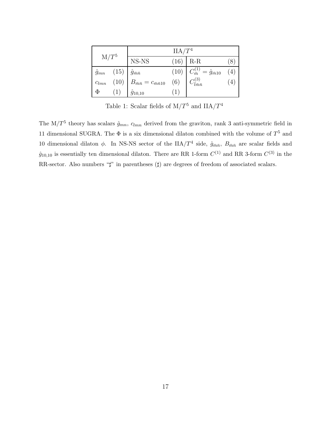<span id="page-17-0"></span>

| $\mathrm{M}/T^5$ |  | IIA/T <sup>4</sup>                                                                                           |  |                                                                                         |                 |  |
|------------------|--|--------------------------------------------------------------------------------------------------------------|--|-----------------------------------------------------------------------------------------|-----------------|--|
|                  |  | NS-NS                                                                                                        |  | $(16)$ R-R                                                                              |                 |  |
|                  |  |                                                                                                              |  | (10) $C_{\bar{m}}^{(1)} = \hat{g}_{\bar{m}10}$<br>(6) $C_{\bar{l}\bar{m}\bar{n}}^{(3)}$ | (4)             |  |
|                  |  | $\hat{g}_{mn}$ (15) $\hat{g}_{\bar{m}\bar{n}}$<br>$c_{lmn}$ (10) $B_{\bar{m}\bar{n}} = c_{\bar{m}\bar{n}10}$ |  |                                                                                         | $\vert 4 \vert$ |  |
| $\Phi$           |  | $\hat{g}_{10,10}$                                                                                            |  |                                                                                         |                 |  |

Table 1: Scalar fields of  $M/T^5$  and  $IIA/T^4$ 

The  $M/T^5$  theory has scalars  $\hat{g}_{mn}$ ,  $c_{lmn}$  derived from the graviton, rank 3 anti-symmetric field in 11 dimensional SUGRA. The  $\Phi$  is a six dimensional dilaton combined with the volume of  $T^5$  and 10 dimensional dilaton  $\phi$ . In NS-NS sector of the IIA/T<sup>4</sup> side,  $\hat{g}_{\bar{m}\bar{n}}$ ,  $B_{\bar{m}\bar{n}}$  are scalar fields and  $\hat{g}_{10,10}$  is essentially ten dimensional dilaton. There are RR 1-form  $C^{(1)}$  and RR 3-form  $C^{(3)}$  in the RR-sector. Also numbers " $\sharp$ " in parentheses ( $\sharp$ ) are degrees of freedom of associated scalars.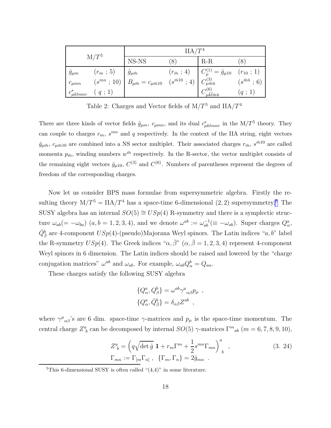<span id="page-18-0"></span>

| $M/T^5$           |            | IIA/T <sup>4</sup>                                                 |                                                         |                                                  |                           |  |
|-------------------|------------|--------------------------------------------------------------------|---------------------------------------------------------|--------------------------------------------------|---------------------------|--|
|                   |            | NS-NS                                                              | 8                                                       | $R-R$                                            |                           |  |
| $\hat{g}_{\mu m}$ | $(r_m; 5)$ | $-\hat{g}_{\mu\bar{m}}$                                            | $(r_{\bar{m}} \,;\, 4)$                                 | $C_{\mu}^{(1)} = \hat{g}_{\mu 10}$ $(r_{10}; 1)$ |                           |  |
| $c_{\mu mn}$      |            | $(s^{mn} \; ; \; 10) \;   \; B_{\mu \bar{m}} = c_{\mu \bar{m} 10}$ | $(s^{\bar{m}10} \t; 4)$ $C^{(3)}_{\mu \bar{m} \bar{n}}$ |                                                  | $(s^{\bar{m}\bar{n}}; 6)$ |  |
| $c^*_{\mu klmnr}$ | (q ; 1)    |                                                                    |                                                         | u $\bar{k}l\bar{m}\bar{n}$                       | (q:1)                     |  |

Table 2: Charges and Vector fields of  $M/T^5$  and  $IIA/T^4$ 

There are three kinds of vector fields  $\hat{g}_{\mu m}$ ,  $c_{\mu m n}$ , and its dual  $c^*_{\mu k l m n r}$  in the M/T<sup>5</sup> theory. They can couple to charges  $r_m$ ,  $s^{mn}$  and q respectively. In the context of the IIA string, eight vectors  $\hat{g}_{\mu\bar{m}}$ ,  $c_{\mu\bar{m}10}$  are combined into a NS sector multiplet. Their associated charges  $r_{\bar{m}}$ ,  $s^{\bar{m}10}$  are called momenta  $p_{\bar{m}}$ , winding numbers  $w^{\bar{m}}$  respectively. In the R-sector, the vector multiplet consists of the remaining eight vectors  $\hat{g}_{\mu 10}$ ,  $C^{(3)}$  and  $C^{(6)}$ . Numbers of parentheses represent the degrees of freedom of the corresponding charges.

Now let us consider BPS mass formulae from supersymmetric algebra. Firstly the resulting theory  $M/T^5 = IIA/T^4$  has a space-time 6-dimensional  $(2, 2)$  supersymmetry.<sup>5</sup> The SUSY algebra has an internal  $SO(5) \cong USp(4)$  R-symmetry and there is a symplectic structure  $\omega_{ab} (=-\omega_{ba})$   $(a,b=1,2,3,4)$ , and we denote  $\omega^{ab} := \omega_{ab}^{-1} (\equiv -\omega_{ab})$ . Super charges  $Q^a_\alpha$ ,  $\bar{Q}^b_{\bar{\beta}}$  are 4-component  $USp(4)$ -(pseudo)Majorana Weyl spinors. The Latin indices "a, b" label the R-symmetry  $USp(4)$ . The Greek indices " $\alpha, \bar{\beta}$ " ( $\alpha, \bar{\beta} = 1, 2, 3, 4$ ) represent 4-component Weyl spinors in 6 dimension. The Latin indices should be raised and lowered by the "charge conjugation matrices"  $\omega^{ab}$  and  $\omega_{ab}$ . For example,  $\omega_{ab}Q^b_\alpha = Q_{a\alpha}$ .

These charges satisfy the following SUSY algebra

$$
\begin{aligned} \{Q^a_\alpha, Q^b_\beta\} &= \omega^{ab} \gamma^\mu{}_{\alpha\beta} p_\mu \ , \\ \{Q^a_\alpha, \bar{Q}^b_\beta\} &= \delta_{\alpha\bar{\beta}} Z^{ab} \ , \end{aligned}
$$

where  $\gamma^{\mu}{}_{\alpha\beta}$ 's are 6 dim. space-time  $\gamma$ -matrices and  $p_{\mu}$  is the space-time momentum. The central charge  $Z^a_{\ b}$  can be decomposed by internal  $SO(5)$   $\gamma$ -matrices  $\Gamma^m{}_{ab}$   $(m = 6, 7, 8, 9, 10)$ ,

$$
Z_b^a = \left(q\sqrt{\det \hat{g}} \mathbf{1} + r_m \Gamma^m + \frac{1}{2} s^{mn} \Gamma_{mn}\right)_b^a ,
$$
 (3. 24)  

$$
\Gamma_{mn} := \Gamma_{[m} \Gamma_{n]}, \quad \{\Gamma_m, \Gamma_n\} = 2 \hat{g}_{mn} .
$$

<sup>&</sup>lt;sup>5</sup>This 6-dimensional SUSY is often called " $(4,4)$ " in some literature.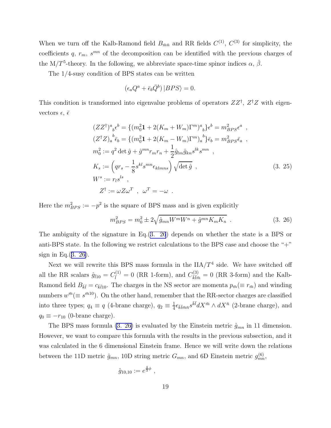<span id="page-19-0"></span>When we turn off the Kalb-Ramond field  $B_{\bar{m}\bar{n}}$  and RR fields  $C^{(1)}$ ,  $C^{(3)}$  for simplicity, the coefficients q,  $r_m$ ,  $s^{mn}$  of the decomposition can be identified with the previous charges of the M/T<sup>5</sup>-theory. In the following, we abbreviate space-time spinor indices  $\alpha$ ,  $\bar{\beta}$ .

The 1/4-susy condition of BPS states can be written

$$
\left(\epsilon_a Q^a + \bar{\epsilon}_b \bar{Q}^b\right)|BPS\rangle = 0.
$$

This condition is transformed into eigenvalue problems of operators  $ZZ^{\dagger}$ ,  $Z^{\dagger}Z$  with eigenvectors  $\epsilon$ ,  $\bar{\epsilon}$ 

$$
(ZZ^{\dagger})^{a}{}_{b}\epsilon^{b} = \{(m_{0}^{2}\mathbf{1} + 2(K_{m} + W_{m})\Gamma^{m})^{a}{}_{b}\}\epsilon^{b} = m_{BPS}^{2}\epsilon^{a} ,
$$
  
\n
$$
(Z^{\dagger}Z)_{a}{}^{b}\bar{\epsilon}_{b} = \{(m_{0}^{2}\mathbf{1} + 2(K_{m} - W_{m})\Gamma^{m})_{a}{}^{b}\}\bar{\epsilon}_{b} = m_{BPS}^{2}\bar{\epsilon}_{a} ,
$$
  
\n
$$
m_{0}^{2} := q^{2} \det \hat{g} + \hat{g}^{mn}r_{m}r_{n} + \frac{1}{2}\hat{g}_{lm}\hat{g}_{kn}s^{lk}s^{mn} ,
$$
  
\n
$$
K_{s} := (qr_{s} - \frac{1}{8}s^{kl}s^{mn}\epsilon_{klmn}s) \sqrt{\det \hat{g}} ,
$$
  
\n
$$
W^{s} := r_{l}s^{ls} ,
$$
  
\n
$$
Z^{\dagger} := \omega Z\omega^{T} , \omega^{T} = -\omega .
$$
  
\n(3. 25)

Here the  $m_{BPS}^2 := -p^2$  is the square of BPS mass and is given explicitly

$$
m_{BPS}^2 = m_0^2 \pm 2\sqrt{\hat{g}_{mn}W^mW^n + \hat{g}^{mn}K_mK_n} \tag{3.26}
$$

The ambiguity of the signature in Eq.(3. 26) depends on whether the state is a BPS or anti-BPS state. In the following we restrict calculations to the BPS case and choose the "+" sign in Eq. $(3. 26)$ .

Next we will rewrite this BPS mass formula in the  $IIA/T<sup>4</sup>$  side. We have switched off all the RR scalars  $\hat{g}_{\bar{l}10} = C_{\bar{l}}^{(1)} = 0$  (RR 1-form), and  $C_{\bar{k}\bar{l}\bar{m}}^{(3)} = 0$  (RR 3-form) and the Kalb-Ramond field  $B_{\bar{k}\bar{l}} = c_{\bar{k}\bar{l}10}$ . The charges in the NS sector are momenta  $p_{\bar{m}} (\equiv r_{\bar{m}})$  and winding numbers  $w^{\bar{m}} (\equiv s^{\bar{m}10})$ . On the other hand, remember that the RR-sector charges are classified into three types;  $q_4 \equiv q$  (4-brane charge),  $q_2 \equiv \frac{1}{4}$  $\frac{1}{4} \epsilon_{\bar{k}\bar{l}m\bar{n}} s^{\bar{k}\bar{l}} dX^{\bar{m}} \wedge dX^{\bar{n}}$  (2-brane charge), and  $q_0 \equiv -r_{10}$  (0-brane charge).

The BPS mass formula (3. 26) is evaluated by the Einstein metric  $\hat{g}_{mn}$  in 11 dimension. However, we want to compare this formula with the results in the previous subsection, and it was calculated in the 6 dimensional Einstein frame. Hence we will write down the relations between the 11D metric  $\hat{g}_{mn}$ , 10D string metric  $G_{mn}$ , and 6D Einstein metric  $g_{mn}^{(6)}$ ,

$$
\hat{g}_{10,10} := e^{\frac{4}{3}\phi} ,
$$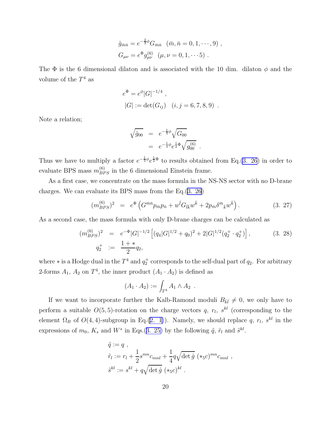$$
\hat{g}_{\bar{m}\bar{n}} = e^{-\frac{2}{3}\phi} G_{\bar{m}\bar{n}} \quad (\bar{m}, \bar{n} = 0, 1, \cdots, 9) ,
$$
  
\n
$$
G_{\mu\nu} = e^{\Phi} g_{\mu\nu}^{(6)} \quad (\mu, \nu = 0, 1, \cdots 5) .
$$

The  $\Phi$  is the 6 dimensional dilaton and is associated with the 10 dim. dilaton  $\phi$  and the volume of the  $T^4$  as

$$
e^{\Phi} = e^{\phi} |G|^{-1/4}
$$
,  
\n $|G| := \det(G_{ij})$   $(i, j = 6, 7, 8, 9)$ .

Note a relation;

$$
\sqrt{\hat{g}_{00}} = e^{-\frac{1}{3}\phi} \sqrt{G_{00}}
$$
  
=  $e^{-\frac{1}{3}\phi} e^{\frac{1}{2}\Phi} \sqrt{g_{00}^{(6)}}$ .

Thus we have to multiply a factor  $e^{-\frac{1}{3}\phi}e^{\frac{1}{2}\Phi}$  to results obtained from Eq.[\(3. 26](#page-19-0)) in order to evaluate BPS mass  $m_{BPS}^{(6)}$  in the 6 dimensional Einstein frame.

As a first case, we concentrate on the mass formula in the NS-NS sector with no D-brane charges. We can evaluate its BPS mass from the Eq.([3. 26\)](#page-19-0)

$$
(m_{BPS}^{(6)})^2 = e^{\Phi} \left( G^{\bar{m}\bar{n}} p_{\bar{m}} p_{\bar{n}} + w^{\bar{l}} G_{\bar{l}\bar{k}} w^{\bar{k}} + 2 p_{\bar{m}} \delta^{\bar{m}}{}_{\bar{k}} w^{\bar{k}} \right).
$$
 (3. 27)

As a second case, the mass formula with only D-brane charges can be calculated as

$$
(m_{BPS}^{(6)})^2 = e^{-\Phi} |G|^{-1/2} \left[ (q_4 |G|^{1/2} + q_0)^2 + 2|G|^{1/2} (q_2^+ \cdot q_2^+) \right],
$$
\n(3. 28)  
\n
$$
q_2^+ := \frac{1 + *}{2} q_2,
$$

where  $*$  is a Hodge dual in the  $T^4$  and  $q_2^+$  corresponds to the self-dual part of  $q_2$ . For arbitrary 2-forms  $A_1$ ,  $A_2$  on  $T^4$ , the inner product  $(A_1 \cdot A_2)$  is defined as

$$
(A_1 \cdot A_2) := \int_{T^4} A_1 \wedge A_2 \; .
$$

If we want to incorporate further the Kalb-Ramond moduli  $B_{\bar{k}\bar{l}}\neq 0$ , we only have to perform a suitable  $O(5, 5)$ -rotation on the charge vectors q,  $r_l$ ,  $s^{kl}$  (corresponding to the element  $\Omega_B$  of  $O(4, 4)$ -subgroup in Eq.[\(2. 1\)](#page-3-0)). Namely, we should replace q,  $r_l$ ,  $s^{kl}$  in the expressions of  $m_0$ ,  $K_s$  and  $W^s$  in Eqs.([3. 25\)](#page-19-0) by the following  $\tilde{q}$ ,  $\tilde{r}_l$  and  $\tilde{s}^{kl}$ .

$$
\tilde{q} := q ,
$$
\n
$$
\tilde{r}_l := r_l + \frac{1}{2} s^{mn} c_{mnl} + \frac{1}{4} q \sqrt{\det \hat{g}} \, (*_5 c)^{mn} c_{mnl} ,
$$
\n
$$
\tilde{s}^{kl} := s^{kl} + q \sqrt{\det \hat{g}} \, (*_5 c)^{kl} .
$$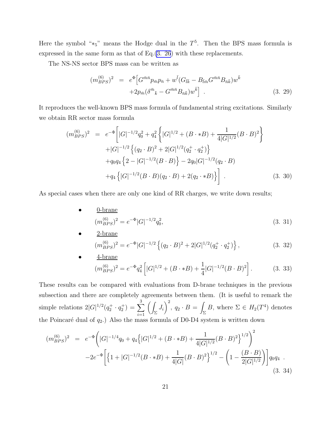<span id="page-21-0"></span>Here the symbol " $*_5$ " means the Hodge dual in the  $T^5$ . Then the BPS mass formula is expressed in the same form as that of Eq.[\(3. 26](#page-19-0)) with these replacements.

The NS-NS sector BPS mass can be written as

$$
(m_{BPS}^{(6)})^2 = e^{\Phi} \Big[ G^{\bar{m}\bar{n}} p_{\bar{m}} p_{\bar{n}} + w^{\bar{l}} (G_{\bar{l}\bar{k}} - B_{\bar{l}\bar{m}} G^{\bar{m}\bar{n}} B_{\bar{n}\bar{k}}) w^{\bar{k}} + 2p_{\bar{m}} (\delta^{\bar{m}}{}_{\bar{k}} - G^{\bar{m}\bar{n}} B_{\bar{n}\bar{k}}) w^{\bar{k}} \Big] . \tag{3.29}
$$

It reproduces the well-known BPS mass formula of fundamental string excitations. Similarly we obtain RR sector mass formula

$$
(m_{BPS}^{(6)})^2 = e^{-\Phi} \Big[ |G|^{-1/2} q_0^2 + q_4^2 \Big\{ |G|^{1/2} + (B \cdot * B) + \frac{1}{4|G|^{1/2}} (B \cdot B)^2 \Big\} + |G|^{-1/2} \Big\{ (q_2 \cdot B)^2 + 2|G|^{1/2} (q_2^+ \cdot q_2^+) \Big\} + q_0 q_4 \Big\{ 2 - |G|^{-1/2} (B \cdot B) \Big\} - 2q_0 |G|^{-1/2} (q_2 \cdot B) + q_4 \Big\{ |G|^{-1/2} (B \cdot B) (q_2 \cdot B) + 2(q_2 \cdot * B) \Big\} \Big] . \tag{3. 30}
$$

As special cases when there are only one kind of RR charges, we write down results;

• 0-brane  $(m_{BPS}^{(6)})^2 = e^{-\Phi} |G|^{-1/2} q_0^2$  $(3. 31)$ 

• 2-brane  
\n
$$
(m_{BPS}^{(6)})^2 = e^{-\Phi} |G|^{-1/2} \left\{ (q_2 \cdot B)^2 + 2|G|^{1/2} (q_2^+ \cdot q_2^+) \right\},
$$
\n(3. 32)

• 
$$
\frac{4\text{-brane}}{(m_{BPS}^{(6)})^2} = e^{-\Phi}q_4^2 \left[|G|^{1/2} + (B \cdot *B) + \frac{1}{4}|G|^{-1/2}(B \cdot B)^2\right].
$$
 (3. 33)

These results can be compared with evaluations from D-brane techniques in the previous subsection and there are completely agreements between them. (It is useful to remark the simple relations  $2|G|^{1/2}(q_2^+ \cdot q_2^+) = \sum$ 3  $i=1$  $\sqrt{2}$  $\frac{J_i}{\Sigma}$  $\setminus^2$  $, q_2 \cdot B =$  $\sum_{\Sigma} B$ , where  $\Sigma \in H_2(T^4)$  denotes the Poincaré dual of  $q_2$ .) Also the mass formula of D0-D4 system is written down

$$
(m_{BPS}^{(6)})^2 = e^{-\Phi} \left( |G|^{-1/4} q_0 + q_4 \left\{ |G|^{1/2} + (B \cdot * B) + \frac{1}{4|G|^{1/2}} (B \cdot B)^2 \right\}^{1/2} \right)^2
$$
  

$$
-2e^{-\Phi} \left[ \left\{ 1 + |G|^{-1/2} (B \cdot * B) + \frac{1}{4|G|} (B \cdot B)^2 \right\}^{1/2} - \left( 1 - \frac{(B \cdot B)}{2|G|^{1/2}} \right) \right] q_0 q_4
$$
 (3. 34)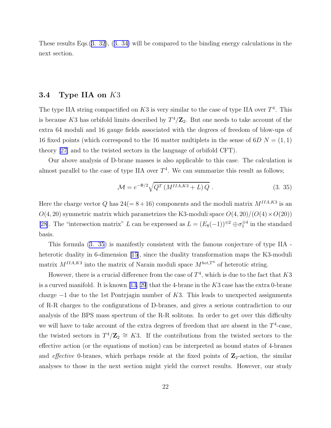These results Eqs.([3. 32\)](#page-21-0),([3. 34\)](#page-21-0) will be compared to the binding energy calculations in the next section.

#### 3.4 Type IIA on K3

The type IIA string compactified on  $K3$  is very similar to the case of type IIA over  $T^4$ . This is because K3 has orbifold limits described by  $T^4/\mathbb{Z}_2$ . But one needs to take account of the extra 64 moduli and 16 gauge fields associated with the degrees of freedom of blow-ups of 16 fixed points (which correspond to the 16 matter multiplets in the sense of  $6D N = (1, 1)$ theory[[27\]](#page-44-0) and to the twisted sectors in the language of orbifold CFT).

Our above analysis of D-brane masses is also applicable to this case. The calculation is almost parallel to the case of type IIA over  $T<sup>4</sup>$ . We can summarize this result as follows;

$$
\mathcal{M} = e^{-\Phi/2} \sqrt{Q^T \left( M^{IIA, K3} + L \right) Q} \tag{3.35}
$$

Here the charge vector Q has  $24(=8+16)$  components and the moduli matrix  $M^{IIA,K3}$  is an  $O(4, 20)$  symmetric matrix which parametrizes the K3-moduli space  $O(4, 20)/(O(4) \times O(20))$ [\[28\]](#page-44-0). The "intersection matrix" L can be expressed as  $L = (E_8(-1))^{\oplus 2} \oplus \sigma_1^{\oplus 4}$  in the standard basis.

This formula (3. 35) is manifestly consistent with the famous conjecture of type IIA - heterotic duality in 6-dimension [\[15\]](#page-43-0), since the duality transformation maps the K3-moduli matrix  $M^{IIA,K3}$  into the matrix of Narain moduli space  $M^{het,T^4}$  of heterotic string.

However, there is a crucial difference from the case of  $T<sup>4</sup>$ , which is due to the fact that  $K3$ is a curved manifold. It is known [\[13,](#page-43-0) [29](#page-44-0)] that the 4-brane in the  $K3$  case has the extra 0-brane charge  $-1$  due to the 1st Pontrjagin number of K3. This leads to unexpected assignments of R-R charges to the configurations of D-branes, and gives a serious contradiction to our analysis of the BPS mass spectrum of the R-R solitons. In order to get over this difficulty we will have to take account of the extra degrees of freedom that are absent in the  $T^4$ -case, the twisted sectors in  $T^4/\mathbb{Z}_2 \cong K3$ . If the contributions from the twisted sectors to the effective action (or the equations of motion) can be interpreted as bound states of 4-branes and *effective* 0-branes, which perhaps reside at the fixed points of  $\mathbb{Z}_2$ -action, the similar analyses to those in the next section might yield the correct results. However, our study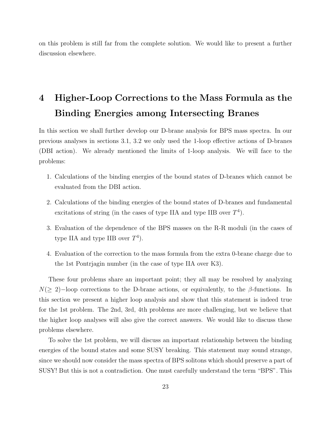on this problem is still far from the complete solution. We would like to present a further discussion elsewhere.

## 4 Higher-Loop Corrections to the Mass Formula as the Binding Energies among Intersecting Branes

In this section we shall further develop our D-brane analysis for BPS mass spectra. In our previous analyses in sections 3.1, 3.2 we only used the 1-loop effective actions of D-branes (DBI action). We already mentioned the limits of 1-loop analysis. We will face to the problems:

- 1. Calculations of the binding energies of the bound states of D-branes which cannot be evaluated from the DBI action.
- 2. Calculations of the binding energies of the bound states of D-branes and fundamental excitations of string (in the cases of type IIA and type IIB over  $T<sup>4</sup>$ ).
- 3. Evaluation of the dependence of the BPS masses on the R-R moduli (in the cases of type IIA and type IIB over  $T<sup>4</sup>$ ).
- 4. Evaluation of the correction to the mass formula from the extra 0-brane charge due to the 1st Pontrjagin number (in the case of type IIA over K3).

These four problems share an important point; they all may be resolved by analyzing  $N(\geq 2)$ –loop corrections to the D-brane actions, or equivalently, to the  $\beta$ -functions. In this section we present a higher loop analysis and show that this statement is indeed true for the 1st problem. The 2nd, 3rd, 4th problems are more challenging, but we believe that the higher loop analyses will also give the correct answers. We would like to discuss these problems elsewhere.

To solve the 1st problem, we will discuss an important relationship between the binding energies of the bound states and some SUSY breaking. This statement may sound strange, since we should now consider the mass spectra of BPS solitons which should preserve a part of SUSY! But this is not a contradiction. One must carefully understand the term "BPS". This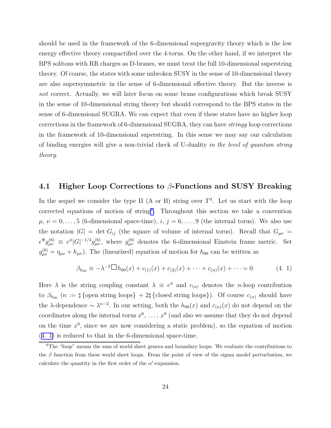<span id="page-24-0"></span>should be used in the framework of the 6-dimensional supergravity theory which is the low energy effective theory compactified over the 4-torus. On the other hand, if we interpret the BPS solitons with RR charges as D-branes, we must treat the full 10-dimensional superstring theory. Of course, the states with some unbroken SUSY in the sense of 10-dimensional theory are also supersymmetric in the sense of 6-dimensional effective theory. But the inverse is not correct. Actually, we will later focus on some brane configurations which break SUSY in the sense of 10-dimensional string theory but should correspond to the BPS states in the sense of 6-dimensional SUGRA. We can expect that even if these states have no higher loop corrections in the framework of 6-dimensional SUGRA, they can have stringy loop corrections in the framework of 10-dimensional superstring. In this sense we may say our calculation of binding energies will give a non-trivial check of U-duality in the level of quantum string theory.

#### 4.1 Higher Loop Corrections to  $\beta$ -Functions and SUSY Breaking

In the sequel we consider the type II (A or B) string over  $T<sup>4</sup>$ . Let us start with the loop corrected equations of motion of string<sup>6</sup> . Throughout this section we take a convention  $\mu, \nu = 0, \ldots, 5$  (6-dimensional space-time),  $i, j = 6, \ldots, 9$  (the internal torus). We also use the notation  $|G| = \det G_{ij}$  (the square of volume of internal torus). Recall that  $G_{\mu\nu} =$  $e^{\Phi}g_{\mu\nu}^{(6)} \equiv e^{\phi}|G|^{-1/4}g_{\mu\nu}^{(6)}$ , where  $g_{\mu\nu}^{(6)}$  denotes the 6-dimensional Einstein frame metric. Set  $g_{\mu\nu}^{(6)} = \eta_{\mu\nu} + h_{\mu\nu}$ ). The (linearized) equation of motion for  $h_{00}$  can be written as

$$
\beta_{h_{00}} \equiv -\lambda^{-2} \Box h_{00}(x) + c_{(1)}(x) + c_{(2)}(x) + \cdots + c_{(n)}(x) + \cdots = 0.
$$
 (4. 1)

Here  $\lambda$  is the string coupling constant  $\lambda \equiv e^{\phi}$  and  $c_{(n)}$  denotes the *n*-loop contribution to  $\beta_{h_{00}}$  (n :=  $\sharp$  {open string loops} + 2 $\sharp$  {closed string loops}). Of course  $c_{(n)}$  should have the  $\lambda$ -dependence  $\sim \lambda^{n-2}$ . In our setting, both the  $h_{00}(x)$  and  $c_{(n)}(x)$  do not depend on the coordinates along the internal torus  $x^6, \ldots, x^9$  (and also we assume that they do not depend on the time  $x^0$ , since we are now considering a static problem), so the equation of motion (4. 1) is reduced to that in the 6-dimensional space-time.

 $6$ The "loop" means the sum of world sheet genera and boundary loops. We evaluate the contributions to the  $\beta$  function from these world sheet loops. From the point of view of the sigma model perturbation, we calculate the quantity in the first order of the  $\alpha'$ -expansion.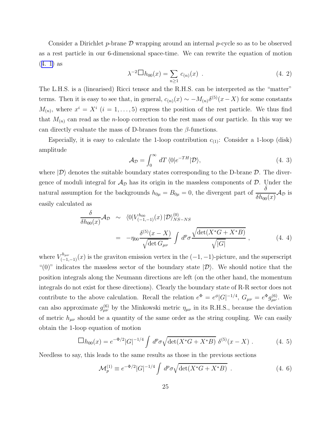Consider a Dirichlet p-brane  $\mathcal D$  wrapping around an internal p-cycle so as to be observed as a rest particle in our 6-dimensional space-time. We can rewrite the equation of motion ([4. 1\)](#page-24-0) as

$$
\lambda^{-2} \Box h_{00}(x) = \sum_{n \ge 1} c_{(n)}(x) . \qquad (4. 2)
$$

The L.H.S. is a (linearised) Ricci tensor and the R.H.S. can be interpreted as the "matter" terms. Then it is easy to see that, in general,  $c_{(n)}(x) \sim -M_{(n)}\delta^{(5)}(x-X)$  for some constants  $M_{(n)}$ , where  $x^i = X^i$   $(i = 1, \ldots, 5)$  express the position of the rest particle. We thus find that  $M_{(n)}$  can read as the *n*-loop correction to the rest mass of our particle. In this way we can directly evaluate the mass of D-branes from the  $\beta$ -functions.

Especially, it is easy to calculate the 1-loop contribution  $c_{(1)}$ : Consider a 1-loop (disk) amplitude

$$
\mathcal{A}_{\mathcal{D}} = \int_0^\infty dT \langle 0 | e^{-TH} | \mathcal{D} \rangle, \tag{4.3}
$$

where  $|\mathcal{D}\rangle$  denotes the suitable boundary states corresponding to the D-brane  $\mathcal{D}$ . The divergence of moduli integral for  $\mathcal{A}_{\mathcal{D}}$  has its origin in the massless components of  $\mathcal{D}$ . Under the natural assumption for the backgrounds  $h_{0\mu} = B_{0\mu} = 0$ , the divergent part of  $\frac{\delta}{\delta h}$  $\frac{1}{\delta h_{00}(x)}$  $\mathcal{A}_{\mathcal{D}}$  is easily calculated as

$$
\frac{\delta}{\delta h_{00}(x)} \mathcal{A}_{\mathcal{D}} \sim \langle 0|V_{(-1,-1)}^{h_{00}}(x)|\mathcal{D}\rangle_{NS-NS}^{(0)} \n= -\eta_{00} \frac{\delta^{(5)}(x - X)}{\sqrt{\det G_{\mu\nu}}} \int d^p \sigma \frac{\sqrt{\det(X^*G + X^*B)}}{\sqrt{|G|}} ,
$$
\n(4.4)

where  $V_{(-1,-1)}^{h_{\mu\nu}}(x)$  is the graviton emission vertex in the  $(-1,-1)$ -picture, and the superscript "(0)" indicates the massless sector of the boundary state  $|\mathcal{D}\rangle$ . We should notice that the position integrals along the Neumann directions are left (on the other hand, the momentum integrals do not exist for these directions). Clearly the boundary state of R-R sector does not contribute to the above calculation. Recall the relation  $e^{\Phi} = e^{\phi} |G|^{-1/4}$ ,  $G_{\mu\nu} = e^{\Phi} g_{\mu\nu}^{(6)}$ . We can also approximate  $g_{\mu\nu}^{(6)}$  by the Minkowski metric  $\eta_{\mu\nu}$  in its R.H.S., because the deviation of metric  $h_{\mu\nu}$  should be a quantity of the same order as the string coupling. We can easily obtain the 1-loop equation of motion

$$
\Box h_{00}(x) = e^{-\Phi/2} |G|^{-1/4} \int d^p \sigma \sqrt{\det(X^*G + X^*B)} \, \delta^{(5)}(x - X) \,. \tag{4.5}
$$

Needless to say, this leads to the same results as those in the previous sections

$$
\mathcal{M}_p^{(1)} \equiv e^{-\Phi/2} |G|^{-1/4} \int d^p \sigma \sqrt{\det(X^*G + X^*B)} \tag{4.6}
$$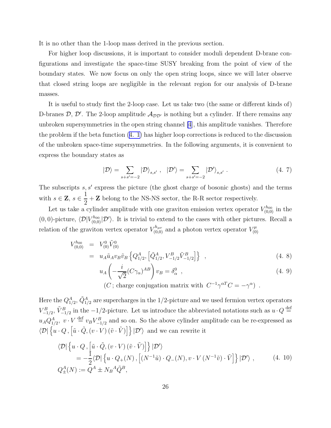<span id="page-26-0"></span>It is no other than the 1-loop mass derived in the previous section.

For higher loop discussions, it is important to consider moduli dependent D-brane configurations and investigate the space-time SUSY breaking from the point of view of the boundary states. We now focus on only the open string loops, since we will later observe that closed string loops are negligible in the relevant region for our analysis of D-brane masses.

It is useful to study first the 2-loop case. Let us take two (the same or different kinds of) D-branes  $D, D'$ . The 2-loop amplitude  $\mathcal{A}_{DD'}$  is nothing but a cylinder. If there remains any unbroken supersymmetries in the open string channel [\[4](#page-42-0)], this amplitude vanishes. Therefore the problem if the beta function [\(4. 1\)](#page-24-0) has higher loop corrections is reduced to the discussion of the unbroken space-time supersymmetries. In the following arguments, it is convenient to express the boundary states as

$$
|\mathcal{D}\rangle = \sum_{s+s'=-2} |\mathcal{D}\rangle_{s,s'}, \quad |\mathcal{D}'\rangle = \sum_{s+s'=-2} |\mathcal{D}'\rangle_{s,s'}.
$$
 (4.7)

The subscripts  $s, s'$  express the picture (the ghost charge of bosonic ghosts) and the terms with  $s \in \mathbf{Z}, s \in \frac{1}{2}$ 2 + **Z** belong to the NS-NS sector, the R-R sector respectively.

Let us take a cylinder amplitude with one graviton emission vertex operator  $V_{(0,0)}^{h_{00}}$  in the  $(0,0)$ -picture,  $\langle \mathcal{D}|V_{(0,0)}^{h_{00}}|\mathcal{D}'\rangle$ . It is trivial to extend to the cases with other pictures. Recall a relation of the graviton vertex operator  $V_{(0,0)}^{h_{\mu\nu}}$  and a photon vertex operator  $V_{(0)}^{\mu}$ (0)

$$
V_{(0,0)}^{h_{00}} = V_{(0)}^{0} \tilde{V}_{(0)}^{0}
$$
  
=  $u_A \tilde{u}_A v_B \tilde{v}_B \left\{ Q_{1/2}^A, \left[ \tilde{Q}_{1/2}^A, V_{-1/2}^B \tilde{V}_{-1/2}^B \right] \right\}$ , (4.8)

$$
u_A\left(-\frac{i}{\sqrt{2}}(C\gamma_\alpha)^{AB}\right)v_B = \delta_\alpha^0 \quad , \tag{4.9}
$$

(C; charge conjugation matrix with 
$$
C^{-1}\gamma^{\alpha T}C = -\gamma^{\alpha}
$$
) .

Here the  $Q_{1/2}^{A}$ ,  $\tilde{Q}_{1/2}^{A}$  are supercharges in the 1/2-picture and we used fermion vertex operators  $V_{-1/2}^B$ ,  $\tilde{V}_{-1/2}^B$  in the  $-1/2$ -picture. Let us introduce the abbreviated notations such as  $u \cdot Q \stackrel{\text{def}}{=}$  $u_A Q_{1/2}^A$ ,  $v \cdot V \stackrel{\text{def}}{=} v_B V_{-1/2}^B$  and so on. So the above cylinder amplitude can be re-expressed as  $\langle \mathcal{D} | \left\{ u \cdot Q \,, \left[ \tilde{u} \cdot \tilde{Q}, \left( v \cdot V \right) \left( \tilde{v} \cdot \tilde{V} \right) \right] \right\} | \mathcal{D}' \rangle$  and we can rewrite it

$$
\langle \mathcal{D} | \left\{ u \cdot Q, \left[ \tilde{u} \cdot \tilde{Q}, (v \cdot V) \left( \tilde{v} \cdot \tilde{V} \right) \right] \right\} | \mathcal{D}' \rangle
$$
  
=  $-\frac{1}{2} \langle \mathcal{D} | \left\{ u \cdot Q_{+}(N), \left[ (N^{-1}\tilde{u}) \cdot Q_{-}(N), v \cdot V \left( N^{-1}\tilde{v} \right) \cdot \tilde{V} \right] \right\} | \mathcal{D}' \rangle$ , (4. 10)  
 $Q_{\pm}^{A}(N) := Q^{A} \pm N_{B}{}^{A} \tilde{Q}^{B},$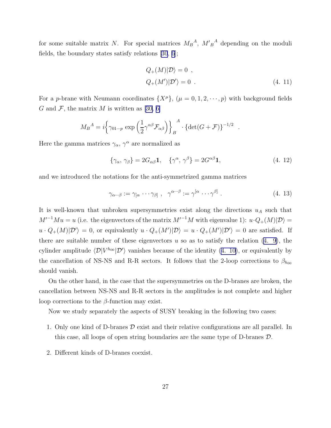for some suitable matrix N. For special matrices  $M_B^A$ ,  $M_B^A$  depending on the moduli fields, the boundary states satisfy relations[[30](#page-44-0), [6](#page-42-0)];

$$
Q_{+}(M)|\mathcal{D}\rangle = 0 ,
$$
  
 
$$
Q_{+}(M')|\mathcal{D}'\rangle = 0 .
$$
 (4. 11)

.

For a p-brane with Neumann coordinates  $\{X^{\mu}\}, (\mu = 0, 1, 2, \dots, p)$  with background fields Gand F, the matrix M is written as [[30,](#page-44-0) [6\]](#page-42-0)

$$
M_B{}^A = i \left\{ \gamma_{01\cdots p} \exp\left(\frac{1}{2} \gamma^{\alpha \beta} \mathcal{F}_{\alpha \beta}\right) \right\}_B{}^A \cdot \left\{ \det(G + \mathcal{F}) \right\}^{-1/2}
$$

Here the gamma matrices  $\gamma_{\alpha}$ ,  $\gamma^{\alpha}$  are normalized as

$$
\{\gamma_{\alpha}, \gamma_{\beta}\} = 2G_{\alpha\beta}\mathbf{1}, \quad \{\gamma^{\alpha}, \gamma^{\beta}\} = 2G^{\alpha\beta}\mathbf{1}, \tag{4.12}
$$

and we introduced the notations for the anti-symmetrized gamma matrices

$$
\gamma_{\alpha\cdots\beta} := \gamma_{[\alpha} \cdots \gamma_{\beta]}, \quad \gamma^{\alpha\cdots\beta} := \gamma^{[\alpha} \cdots \gamma^{\beta]}.
$$
\n(4. 13)

It is well-known that unbroken supersymmetries exist along the directions  $u_A$  such that  $M'^{-1}Mu = u$  (i.e. the eigenvectors of the matrix  $M'^{-1}M$  with eigenvalue 1):  $u \cdot Q_+(M)|\mathcal{D}\rangle =$  $u \cdot Q_{+}(M)|\mathcal{D}'\rangle = 0$ , or equivalently  $u \cdot Q_{+}(M')|\mathcal{D}\rangle = u \cdot Q_{+}(M')|\mathcal{D}'\rangle = 0$  are satisfied. If thereare suitable number of these eigenvectors  $u$  so as to satisfy the relation  $(4, 9)$ , the cylinder amplitude  $\langle \mathcal{D}|V^{h_{00}}|\mathcal{D}'\rangle$  vanishes because of the identity [\(4. 10\)](#page-26-0), or equivalently by the cancellation of NS-NS and R-R sectors. It follows that the 2-loop corrections to  $\beta_{h_{00}}$ should vanish.

On the other hand, in the case that the supersymmetries on the D-branes are broken, the cancellation between NS-NS and R-R sectors in the amplitudes is not complete and higher loop corrections to the  $\beta$ -function may exist.

Now we study separately the aspects of SUSY breaking in the following two cases:

- 1. Only one kind of D-branes  $\mathcal D$  exist and their relative configurations are all parallel. In this case, all loops of open string boundaries are the same type of D-branes D.
- 2. Different kinds of D-branes coexist.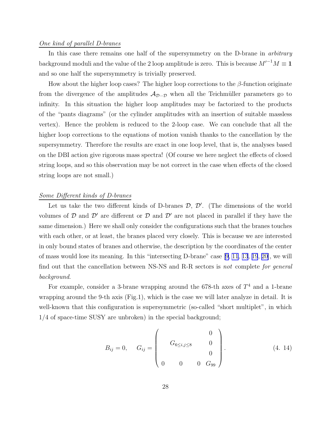#### <span id="page-28-0"></span>One kind of parallel D-branes

In this case there remains one half of the supersymmetry on the D-brane in arbitrary background moduli and the value of the 2 loop amplitude is zero. This is because  $M'^{-1}M \equiv 1$ and so one half the supersymmetry is trivially preserved.

How about the higher loop cases? The higher loop corrections to the  $\beta$ -function originate from the divergence of the amplitudes  $A_{\mathcal{D}\cdots\mathcal{D}}$  when all the Teichmüller parameters go to infinity. In this situation the higher loop amplitudes may be factorized to the products of the "pants diagrams" (or the cylinder amplitudes with an insertion of suitable massless vertex). Hence the problem is reduced to the 2-loop case. We can conclude that all the higher loop corrections to the equations of motion vanish thanks to the cancellation by the supersymmetry. Therefore the results are exact in one loop level, that is, the analyses based on the DBI action give rigorous mass spectra! (Of course we here neglect the effects of closed string loops, and so this observation may be not correct in the case when effects of the closed string loops are not small.)

#### Some Different kinds of D-branes

Let us take the two different kinds of D-branes  $\mathcal{D}, \mathcal{D}'$ . (The dimensions of the world volumes of  $\mathcal D$  and  $\mathcal D'$  are different or  $\mathcal D$  and  $\mathcal D'$  are not placed in parallel if they have the same dimension.) Here we shall only consider the configurations such that the branes touches with each other, or at least, the branes placed very closely. This is because we are interested in only bound states of branes and otherwise, the description by the coordinates of the center of mass would lose its meaning. In this "intersecting D-brane" case[[9,](#page-42-0) [11](#page-43-0), [13](#page-43-0), [19](#page-43-0), [20\]](#page-43-0), we will find out that the cancellation between NS-NS and R-R sectors is not complete for general background.

For example, consider a 3-brane wrapping around the 678-th axes of  $T<sup>4</sup>$  and a 1-brane wrapping around the 9-th axis (Fig.1), which is the case we will later analyze in detail. It is well-known that this configuration is supersymmetric (so-called "short multiplet", in which 1/4 of space-time SUSY are unbroken) in the special background;

$$
B_{ij} = 0, \quad G_{ij} = \begin{pmatrix} 0 \\ G_{6 \le i,j \le 8} & 0 \\ 0 & 0 & G_{99} \end{pmatrix}.
$$
 (4. 14)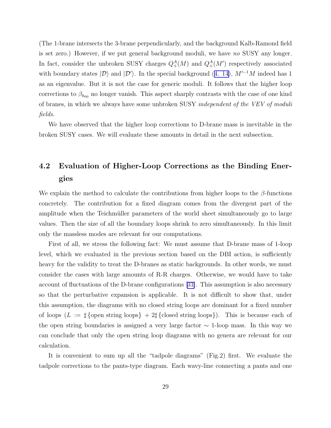(The 1-brane intersects the 3-brane perpendicularly, and the background Kalb-Ramond field is set zero.) However, if we put general background moduli, we have no SUSY any longer. In fact, consider the unbroken SUSY charges  $Q_+^A(M)$  and  $Q_+^A(M')$  respectively associated withboundary states  $|\mathcal{D}\rangle$  and  $|\mathcal{D}'\rangle$ . In the special background ([4. 14\)](#page-28-0),  $M'^{-1}M$  indeed has 1 as an eigenvalue. But it is not the case for generic moduli. It follows that the higher loop corrections to  $\beta_{h_{00}}$  no longer vanish. This aspect sharply contrasts with the case of one kind of branes, in which we always have some unbroken SUSY independent of the VEV of moduli fields.

We have observed that the higher loop corrections to D-brane mass is inevitable in the broken SUSY cases. We will evaluate these amounts in detail in the next subsection.

## 4.2 Evaluation of Higher-Loop Corrections as the Binding Energies

We explain the method to calculate the contributions from higher loops to the  $\beta$ -functions concretely. The contribution for a fixed diagram comes from the divergent part of the amplitude when the Teichmüller parameters of the world sheet simultaneously go to large values. Then the size of all the boundary loops shrink to zero simultaneously. In this limit only the massless modes are relevant for our computations.

First of all, we stress the following fact: We must assume that D-brane mass of 1-loop level, which we evaluated in the previous section based on the DBI action, is sufficiently heavy for the validity to treat the D-branes as static backgrounds. In other words, we must consider the cases with large amounts of R-R charges. Otherwise, we would have to take account of fluctuations of the D-brane configurations[[31\]](#page-44-0). This assumption is also necessary so that the perturbative expansion is applicable. It is not difficult to show that, under this assumption, the diagrams with no closed string loops are dominant for a fixed number of loops  $(L := \frac{1}{4} {\text{open string loops}} + 2\frac{1}{4} {\text{closed string loops}})$ . This is because each of the open string boundaries is assigned a very large factor  $\sim$  1-loop mass. In this way we can conclude that only the open string loop diagrams with no genera are relevant for our calculation.

It is convenient to sum up all the "tadpole diagrams" (Fig.2) first. We evaluate the tadpole corrections to the pants-type diagram. Each wavy-line connecting a pants and one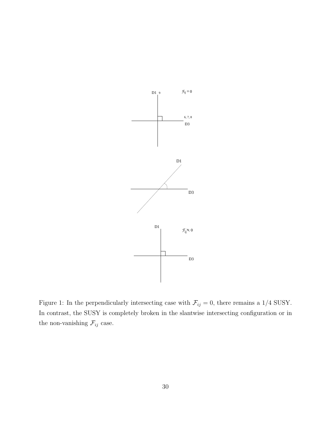

Figure 1: In the perpendicularly intersecting case with  $\mathcal{F}_{ij} = 0$ , there remains a 1/4 SUSY. In contrast, the SUSY is completely broken in the slantwise intersecting configuration or in the non-vanishing  $\mathcal{F}_{ij}$  case.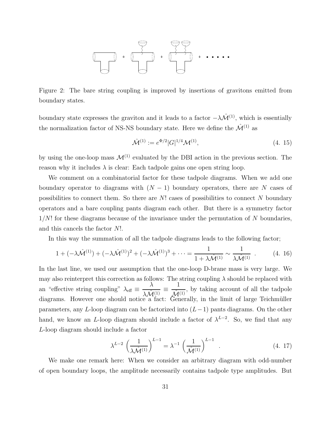<span id="page-31-0"></span>

Figure 2: The bare string coupling is improved by insertions of gravitons emitted from boundary states.

boundary state expresses the graviton and it leads to a factor  $-\lambda \hat{\mathcal{M}}^{(1)}$ , which is essentially the normalization factor of NS-NS boundary state. Here we define the  $\mathcal{\hat{M}}^{(1)}$  as

$$
\hat{\mathcal{M}}^{(1)} := e^{\Phi/2} |G|^{1/4} \mathcal{M}^{(1)},\tag{4.15}
$$

by using the one-loop mass  $\mathcal{M}^{(1)}$  evaluated by the DBI action in the previous section. The reason why it includes  $\lambda$  is clear: Each tadpole gains one open string loop.

We comment on a combinatorial factor for these tadpole diagrams. When we add one boundary operator to diagrams with  $(N - 1)$  boundary operators, there are N cases of possibilities to connect them. So there are  $N!$  cases of possibilities to connect  $N$  boundary operators and a bare coupling pants diagram each other. But there is a symmetry factor  $1/N!$  for these diagrams because of the invariance under the permutation of N boundaries, and this cancels the factor N!.

In this way the summation of all the tadpole diagrams leads to the following factor;

$$
1 + (-\lambda \hat{\mathcal{M}}^{(1)}) + (-\lambda \hat{\mathcal{M}}^{(1)})^2 + (-\lambda \hat{\mathcal{M}}^{(1)})^3 + \dots = \frac{1}{1 + \lambda \hat{\mathcal{M}}^{(1)}} \sim \frac{1}{\lambda \hat{\mathcal{M}}^{(1)}} . \tag{4.16}
$$

In the last line, we used our assumption that the one-loop D-brane mass is very large. We may also reinterpret this correction as follows: The string coupling  $\lambda$  should be replaced with an "effective string coupling"  $\lambda_{\text{eff}} \equiv$  $\lambda$  $\frac{\lambda \hat{\mathcal{M}}^{(1)}}{a}$  a fact: 1  $\frac{1}{\hat{\mathcal{M}}^{(1)}}$ , by taking account of all the tadpole<br>Conseally in the limit of large Teichmüller diagrams. However one should notice a fact: Generally, in the limit of large Teichmüller parameters, any L-loop diagram can be factorized into  $(L-1)$  pants diagrams. On the other hand, we know an L-loop diagram should include a factor of  $\lambda^{L-2}$ . So, we find that any L-loop diagram should include a factor

$$
\lambda^{L-2} \left( \frac{1}{\lambda \hat{\mathcal{M}}^{(1)}} \right)^{L-1} = \lambda^{-1} \left( \frac{1}{\hat{\mathcal{M}}^{(1)}} \right)^{L-1} . \tag{4.17}
$$

We make one remark here: When we consider an arbitrary diagram with odd-number of open boundary loops, the amplitude necessarily contains tadpole type amplitudes. But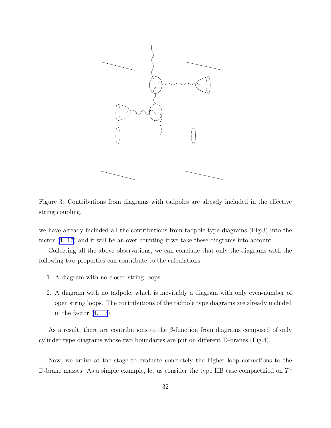

Figure 3: Contributions from diagrams with tadpoles are already included in the effective string coupling.

we have already included all the contributions from tadpole type diagrams (Fig.3) into the factor  $(4. 17)$  and it will be an over counting if we take these diagrams into account.

Collecting all the above observations, we can conclude that only the diagrams with the following two properties can contribute to the calculations:

- 1. A diagram with no closed string loops.
- 2. A diagram with no tadpole, which is inevitably a diagram with only even-number of open string loops. The contributions of the tadpole type diagrams are already included in the factor [\(4. 17](#page-31-0)).

As a result, there are contributions to the  $\beta$ -function from diagrams composed of only cylinder type diagrams whose two boundaries are put on different D-branes (Fig.4).

Now, we arrive at the stage to evaluate concretely the higher loop corrections to the D-brane masses. As a simple example, let us consider the type IIB case compactified on  $T<sup>4</sup>$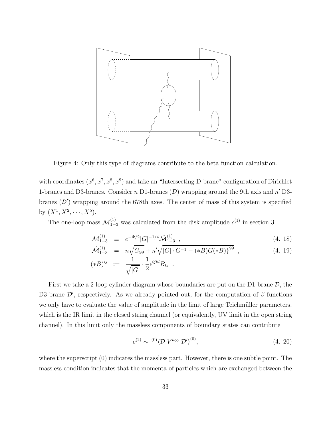<span id="page-33-0"></span>

Figure 4: Only this type of diagrams contribute to the beta function calculation.

with coordinates  $(x^6, x^7, x^8, x^9)$  and take an "Intersecting D-brane" configuration of Dirichlet 1-branes and D3-branes. Consider  $n$  D1-branes ( $D$ ) wrapping around the 9th axis and  $n'$  D3branes  $(\mathcal{D}')$  wrapping around the 678th axes. The center of mass of this system is specified by  $(X^1, X^2, \dots, X^5)$ .

The one-loop mass  $\mathcal{M}_{1-3}^{(1)}$  was calculated from the disk amplitude  $c^{(1)}$  in section 3

$$
\mathcal{M}_{1-3}^{(1)} \equiv e^{-\Phi/2} |G|^{-1/4} \hat{\mathcal{M}}_{1-3}^{(1)} , \qquad (4.18)
$$

$$
\hat{\mathcal{M}}_{1-3}^{(1)} = n\sqrt{G_{99}} + n'\sqrt{|G| \left\{G^{-1} - (*B)G(*B)\right\}^{99}},
$$
\n(4. 19)\n  
\n
$$
(-B)^{ij} = \frac{1}{1 - \frac{1}{2} \sinh p}
$$

$$
(*B)^{ij} \;\; := \;\; \frac{1}{\sqrt{|G|}} \cdot \frac{1}{2} \epsilon^{ijkl} B_{kl} \;\; .
$$

First we take a 2-loop cylinder diagram whose boundaries are put on the D1-brane  $\mathcal{D}$ , the D3-brane  $\mathcal{D}'$ , respectively. As we already pointed out, for the computation of  $\beta$ -functions we only have to evaluate the value of amplitude in the limit of large Teichmüller parameters, which is the IR limit in the closed string channel (or equivalently, UV limit in the open string channel). In this limit only the massless components of boundary states can contribute

$$
c^{(2)} \sim {}^{(0)}\langle \mathcal{D}|V^{h_{00}}|\mathcal{D}'\rangle^{(0)},\tag{4.20}
$$

where the superscript  $(0)$  indicates the massless part. However, there is one subtle point. The massless condition indicates that the momenta of particles which are exchanged between the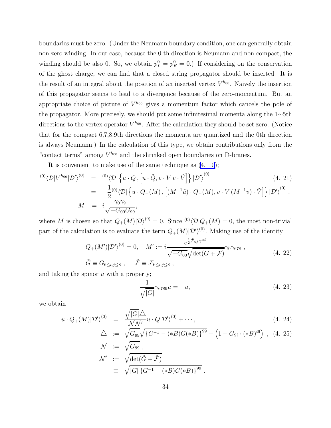<span id="page-34-0"></span>boundaries must be zero. (Under the Neumann boundary condition, one can generally obtain non-zero winding. In our case, because the 0-th direction is Neumann and non-compact, the winding should be also 0. So, we obtain  $p_L^0 = p_R^0 = 0$ .) If considering on the conservation of the ghost charge, we can find that a closed string propagator should be inserted. It is the result of an integral about the position of an inserted vertex  $V^{h_{00}}$ . Naively the insertion of this propagator seems to lead to a divergence because of the zero-momentum. But an appropriate choice of picture of  $V^{h_{00}}$  gives a momentum factor which cancels the pole of the propagator. More precisely, we should put some infinitesimal momenta along the 1∼5th directions to the vertex operator  $V^{h_{00}}$ . After the calculation they should be set zero. (Notice that for the compact 6,7,8,9th directions the momenta are quantized and the 0th direction is always Neumann.) In the calculation of this type, we obtain contributions only from the "contact terms" among  $V^{h_{00}}$  and the shrinked open boundaries on D-branes.

It is convenient to make use of the same technique as [\(4. 10](#page-26-0));

$$
\begin{array}{rcl}\n^{(0)}\langle \mathcal{D}|V^{h_{00}}|\mathcal{D}'\rangle^{(0)} & = & ^{(0)}\langle \mathcal{D}| \left\{ u \cdot Q \,, \left[ \tilde{u} \cdot \tilde{Q}, v \cdot V \tilde{v} \cdot \tilde{V} \right] \right\} |\mathcal{D}'\rangle^{(0)} \\
& = & -\frac{1}{2} {}^{(0)}\langle \mathcal{D}| \left\{ u \cdot Q_{+}(M) \,, \left[ (M^{-1}\tilde{u}) \cdot Q_{-}(M), v \cdot V \left( M^{-1}v \right) \cdot \tilde{V} \right] \right\} |\mathcal{D}'\rangle^{(0)}, \\
M & := & i \frac{\gamma_{0}\gamma_{9}}{\sqrt{-G_{00}G_{99}}},\n\end{array} \tag{4.21}
$$

where M is chosen so that  $Q_+(M)|\mathcal{D}\rangle^{(0)} = 0$ . Since  $\binom{0}{\mathcal{D}}Q_+(M) = 0$ , the most non-trivial part of the calculation is to evaluate the term  $Q_{+}(M)|\mathcal{D}'\rangle^{(0)}$ . Making use of the identity

$$
Q_{+}(M')|\mathcal{D}'\rangle^{(0)} = 0, \quad M' := i \frac{e^{\frac{1}{2}\tilde{\mathcal{F}}_{\alpha\beta}\gamma^{\alpha\beta}}}{\sqrt{-G_{00}}\sqrt{\det(\tilde{G} + \tilde{\mathcal{F}})}} \gamma_{0}\gamma_{678} ,
$$
  
\n
$$
\tilde{G} \equiv G_{6\leq i,j\leq 8} , \quad \tilde{\mathcal{F}} \equiv \mathcal{F}_{6\leq i,j\leq 8} , \qquad (4. 22)
$$

and taking the spinor  $u$  with a property;

$$
\frac{1}{\sqrt{|G|}}\gamma_{6789}u = -u,\tag{4.23}
$$

we obtain

$$
u \cdot Q_{+}(M)|\mathcal{D}'\rangle^{(0)} = \frac{\sqrt{|G|}\triangle}{\mathcal{N}\mathcal{N}'}u \cdot Q|\mathcal{D}'\rangle^{(0)} + \cdots,
$$
\n(4. 24)

$$
\triangle := \sqrt{G_{99}} \sqrt{\{G^{-1} - (*B)G(*B)\}^{99}} - \left(1 - G_{9i} \cdot (*B)^{39}\right) , \quad (4.25)
$$

$$
\mathcal{N} := \sqrt{G_{99}} ,
$$
  
\n
$$
\mathcal{N}' := \sqrt{\det(\tilde{G} + \tilde{\mathcal{F}})}
$$
  
\n
$$
\equiv \sqrt{|G| \{G^{-1} - (*B)G(*B)\}^{99}} .
$$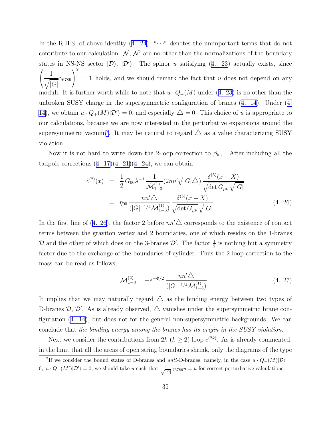<span id="page-35-0"></span>Inthe R.H.S. of above identity  $(4, 24)$ , " $\cdots$ " denotes the unimportant terms that do not contribute to our calculation.  $\mathcal{N}, \mathcal{N}'$  are no other than the normalizations of the boundary statesin NS-NS sector  $|\mathcal{D}\rangle$ ,  $|\mathcal{D}'\rangle$ . The spinor u satisfying ([4. 23\)](#page-34-0) actually exists, since  $\sqrt{ }$  $\mathcal{L}$ 1  $\sqrt{|G|}$  $\gamma_{6789}$  $\setminus$  $\perp$ 2  $= 1$  holds, and we should remark the fact that u does not depend on any moduli.It is further worth while to note that  $u \cdot Q_+(M)$  under ([4. 23\)](#page-34-0) is no other than the unbroken SUSY charge in the supersymmetric configuration of branes [\(4. 14\)](#page-28-0). Under [\(4.](#page-28-0) [14\)](#page-28-0), we obtain  $u \cdot Q_+(M)|\mathcal{D}'\rangle = 0$ , and especially  $\Delta = 0$ . This choice of u is appropriate to our calculations, because we are now interested in the perturbative expansions around the supersymmetric vacuum<sup>7</sup>. It may be natural to regard  $\triangle$  as a value characterizing SUSY violation.

Now it is not hard to write down the 2-loop correction to  $\beta_{h_{00}}$ . After including all the tadpolecorrections  $(4. 17)(4. 21)(4. 24)$  $(4. 17)(4. 21)(4. 24)$  $(4. 17)(4. 21)(4. 24)$  $(4. 17)(4. 21)(4. 24)$  $(4. 17)(4. 21)(4. 24)$ , we can obtain

$$
c^{(2)}(x) = \frac{1}{2} G_{00} \lambda^{-1} \frac{1}{\widehat{\mathcal{M}}_{1-3}^{(1)}} (2nn' \sqrt{|G|} \Delta) \frac{\delta^{(5)}(x - X)}{\sqrt{\det G_{\mu\nu}} \sqrt{|G|}}
$$
  
= 
$$
\eta_{00} \frac{nn' \Delta}{(|G|^{-1/4} \widehat{\mathcal{M}}_{1-3}^{(1)})} \frac{\delta^{(5)}(x - X)}{\sqrt{\det G_{\mu\nu}} \sqrt{|G|}} .
$$
 (4. 26)

In the first line of (4. 26), the factor 2 before  $nn' \triangle$  corresponds to the existence of contact terms between the graviton vertex and 2 boundaries, one of which resides on the 1-branes D and the other of which does on the 3-branes  $\mathcal{D}'$ . The factor  $\frac{1}{2}$  is nothing but a symmetry factor due to the exchange of the boundaries of cylinder. Thus the 2-loop correction to the mass can be read as follows;

$$
\mathcal{M}_{1-3}^{(2)} = -e^{-\Phi/2} \frac{nn'\Delta}{(|G|^{-1/4}\hat{\mathcal{M}}_{1-3}^{(1)})} \,. \tag{4.27}
$$

It implies that we may naturally regard  $\triangle$  as the binding energy between two types of D-branes  $\mathcal{D}, \mathcal{D}'$ . As is already observed,  $\triangle$  vanishes under the supersymmetric brane configuration [\(4. 14\)](#page-28-0), but does not for the general non-supersymmetric backgrounds. We can conclude that the binding energy among the branes has its origin in the SUSY violation.

Next we consider the contributions from  $2k$   $(k \geq 2)$  loop  $c^{(2k)}$ . As is already commented, in the limit that all the areas of open string boundaries shrink, only the diagrams of the type

<sup>&</sup>lt;sup>7</sup>If we consider the bound states of D-branes and *anti*-D-branes, namely, in the case  $u \cdot Q_{+}(M)|\mathcal{D}\rangle =$ 0,  $u \cdot Q_-(M')|\mathcal{D}'\rangle = 0$ , we should take u such that  $\frac{1}{\sqrt{|\mathbb{R}|}}$  $\frac{1}{|G|} \gamma_{6789} u = u$  for correct perturbative calculations.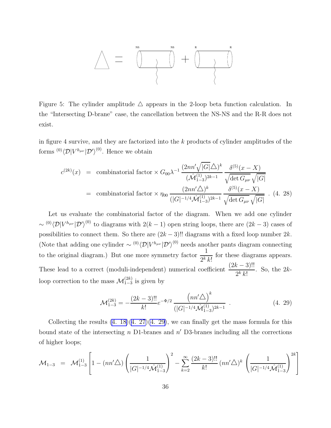

Figure 5: The cylinder amplitude  $\triangle$  appears in the 2-loop beta function calculation. In the "Intersecting D-brane" case, the cancellation between the NS-NS and the R-R does not exist.

in figure 4 survive, and they are factorized into the k products of cylinder amplitudes of the forms  ${}^{(0)}\langle \mathcal{D}|V^{h_{\mu\nu}}|\mathcal{D}'\rangle^{(0)}$ . Hence we obtain

$$
c^{(2k)}(x) = \text{combinatorial factor} \times G_{00} \lambda^{-1} \frac{(2nn'\sqrt{|G|}\Delta)^k}{(\hat{\mathcal{M}}_{1-3}^{(1)})^{2k-1}} \frac{\delta^{(5)}(x-X)}{\sqrt{\det G_{\mu\nu}}\sqrt{|G|}}
$$
  
= \text{combinatorial factor} \times \eta\_{00} \frac{(2nn'\Delta)^k}{(|G|^{-1/4}\hat{\mathcal{M}}\_{1-3}^{(1)})^{2k-1}} \frac{\delta^{(5)}(x-X)}{\sqrt{\det G\_{\mu\nu}}\sqrt{|G|}} . (4. 28)

Let us evaluate the combinatorial factor of the diagram. When we add one cylinder  $\sim (0) \langle \mathcal{D} | V^{h_{\mu\nu}} | \mathcal{D}' \rangle^{(0)}$  to diagrams with  $2(k-1)$  open string loops, there are  $(2k-3)$  cases of possibilities to connect them. So there are  $(2k-3)!!$  diagrams with a fixed loop number  $2k$ . (Note that adding one cylinder  $\sim \frac{(0)}{\mathcal{D}}|V^{h_{\mu\nu}}|\mathcal{D}'\rangle^{(0)}$  needs another pants diagram connecting to the original diagram.) But one more symmetry factor  $\frac{1}{\alpha k}$  $\frac{1}{2^k k!}$  for these diagrams appears. These lead to a correct (moduli-independent) numerical coefficient  $\frac{(2k-3)!!}{2k!}$  $\frac{e^{i} - 3i}{2k k!}$ . So, the 2kloop correction to the mass  $\mathcal{M}^{(2k)}_{1-3}$  is given by

$$
\mathcal{M}_{1-3}^{(2k)} = -\frac{(2k-3)!!}{k!} e^{-\Phi/2} \frac{\left(nn'\triangle\right)^k}{\left(|G|^{-1/4} \hat{\mathcal{M}}_{1-3}^{(1)}\right)^{2k-1}} \tag{4.29}
$$

Collecting the results  $(4. 18)(4. 27)(4. 29)$  $(4. 18)(4. 27)(4. 29)$  $(4. 18)(4. 27)(4. 29)$ , we can finally get the mass formula for this bound state of the intersecting  $n$  D1-branes and  $n'$  D3-branes including all the corrections of higher loops;

$$
\mathcal{M}_{1-3} = \mathcal{M}_{1-3}^{(1)} \left[ 1 - (nn' \triangle) \left( \frac{1}{|G|^{-1/4} \hat{\mathcal{M}}_{1-3}^{(1)}} \right)^2 - \sum_{k=2}^{\infty} \frac{(2k-3)!!}{k!} (nn' \triangle)^k \left( \frac{1}{|G|^{-1/4} \hat{\mathcal{M}}_{1-3}^{(1)}} \right)^{2k} \right]
$$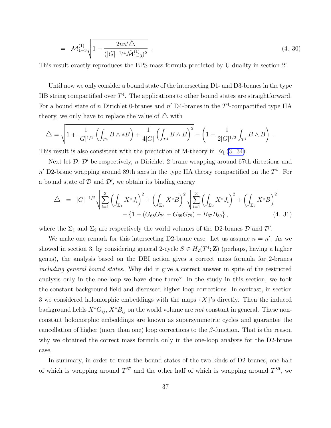$$
= \mathcal{M}_{1-3}^{(1)} \sqrt{1 - \frac{2nn'\Delta}{(|G|^{-1/4}\mathcal{M}_{1-3}^{(1)})^2}} \tag{4.30}
$$

This result exactly reproduces the BPS mass formula predicted by U-duality in section 2!

Until now we only consider a bound state of the intersecting D1- and D3-branes in the type IIB string compactified over  $T^4$ . The applications to other bound states are straightforward. For a bound state of n Dirichlet 0-branes and  $n'$  D4-branes in the  $T^4$ -compactified type IIA theory, we only have to replace the value of  $\triangle$  with

$$
\triangle = \sqrt{1 + \frac{1}{|G|^{1/2}} \left( \int_{T^4} B \wedge *B \right) + \frac{1}{4|G|} \left( \int_{T^4} B \wedge B \right)^2} - \left( 1 - \frac{1}{2|G|^{1/2}} \int_{T^4} B \wedge B \right).
$$

This result is also consistent with the prediction of M-theory in Eq.(3. [34\)](#page-21-0).

Next let  $\mathcal{D}, \mathcal{D}'$  be respectively, n Dirichlet 2-brane wrapping around 67th directions and  $n'$  D2-brane wrapping around 89th axes in the type IIA theory compactified on the  $T<sup>4</sup>$ . For a bound state of  $D$  and  $D'$ , we obtain its binding energy

$$
\triangle = |G|^{-1/2} \sqrt{\sum_{i=1}^{3} \left( \int_{\Sigma_1} X^* J_i \right)^2 + \left( \int_{\Sigma_1} X^* B \right)^2} \sqrt{\sum_{i=1}^{3} \left( \int_{\Sigma_2} X^* J_i \right)^2 + \left( \int_{\Sigma_2} X^* B \right)^2} - \left\{ 1 - \left( G_{68} G_{79} - G_{69} G_{78} \right) - B_{67} B_{89} \right\},
$$
\n(4. 31)

where the  $\Sigma_1$  and  $\Sigma_2$  are respectively the world volumes of the D2-branes  $D$  and  $D'$ .

We make one remark for this intersecting D2-brane case. Let us assume  $n = n'$ . As we showed in section 3, by considering general 2-cycle  $S \in H_2(T^4; \mathbb{Z})$  (perhaps, having a higher genus), the analysis based on the DBI action gives a correct mass formula for 2-branes including general bound states. Why did it give a correct answer in spite of the restricted analysis only in the one-loop we have done there? In the study in this section, we took the constant background field and discussed higher loop corrections. In contrast, in section 3 we considered holomorphic embeddings with the maps  $\{X\}$ 's directly. Then the induced background fields  $X^*G_{ij}$ ,  $X^*B_{ij}$  on the world volume are not constant in general. These nonconstant holomorphic embeddings are known as supersymmetric cycles and guarantee the cancellation of higher (more than one) loop corrections to the  $\beta$ -function. That is the reason why we obtained the correct mass formula only in the one-loop analysis for the D2-brane case.

In summary, in order to treat the bound states of the two kinds of D2 branes, one half of which is wrapping around  $T^{67}$  and the other half of which is wrapping around  $T^{89}$ , we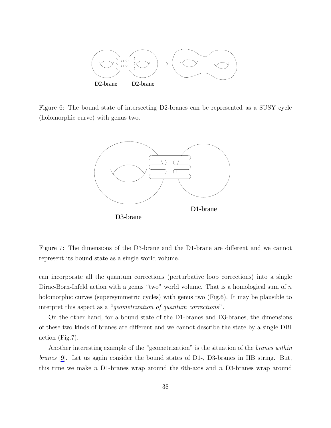

Figure 6: The bound state of intersecting D2-branes can be represented as a SUSY cycle (holomorphic curve) with genus two.



Figure 7: The dimensions of the D3-brane and the D1-brane are different and we cannot represent its bound state as a single world volume.

can incorporate all the quantum corrections (perturbative loop corrections) into a single Dirac-Born-Infeld action with a genus "two" world volume. That is a homological sum of  $n$ holomorphic curves (supersymmetric cycles) with genus two (Fig.6). It may be plausible to interpret this aspect as a "geometrization of quantum corrections".

On the other hand, for a bound state of the D1-branes and D3-branes, the dimensions of these two kinds of branes are different and we cannot describe the state by a single DBI action (Fig.7).

Another interesting example of the "geometrization" is the situation of the branes within branes [[9](#page-42-0)]. Let us again consider the bound states of D1-, D3-branes in IIB string. But, this time we make n D1-branes wrap around the 6th-axis and n D3-branes wrap around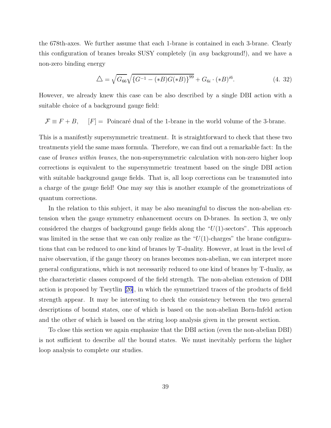the 678th-axes. We further assume that each 1-brane is contained in each 3-brane. Clearly this configuration of branes breaks SUSY completely (in any background!), and we have a non-zero binding energy

$$
\Delta = \sqrt{G_{66}} \sqrt{\{G^{-1} - (*B)G(*B)\}^{99}} + G_{6i} \cdot (*B)^{i6}.
$$
 (4. 32)

However, we already knew this case can be also described by a single DBI action with a suitable choice of a background gauge field:

 $\mathcal{F} \equiv F + B$ ,  $[F] = \text{Poincaré dual of the 1-brane in the world volume of the 3-brane.}$ 

This is a manifestly supersymmetric treatment. It is straightforward to check that these two treatments yield the same mass formula. Therefore, we can find out a remarkable fact: In the case of branes within branes, the non-supersymmetric calculation with non-zero higher loop corrections is equivalent to the supersymmetric treatment based on the single DBI action with suitable background gauge fields. That is, all loop corrections can be transmuted into a charge of the gauge field! One may say this is another example of the geometrizations of quantum corrections.

In the relation to this subject, it may be also meaningful to discuss the non-abelian extension when the gauge symmetry enhancement occurs on D-branes. In section 3, we only considered the charges of background gauge fields along the " $U(1)$ -sectors". This approach was limited in the sense that we can only realize as the " $U(1)$ -charges" the brane configurations that can be reduced to one kind of branes by T-duality. However, at least in the level of naive observation, if the gauge theory on branes becomes non-abelian, we can interpret more general configurations, which is not necessarily reduced to one kind of branes by T-dualiy, as the characteristic classes composed of the field strength. The non-abelian extension of DBI action is proposed by Tseytlin [\[26\]](#page-44-0), in which the symmetrized traces of the products of field strength appear. It may be interesting to check the consistency between the two general descriptions of bound states, one of which is based on the non-abelian Born-Infeld action and the other of which is based on the string loop analysis given in the present section.

To close this section we again emphasize that the DBI action (even the non-abelian DBI) is not sufficient to describe all the bound states. We must inevitably perform the higher loop analysis to complete our studies.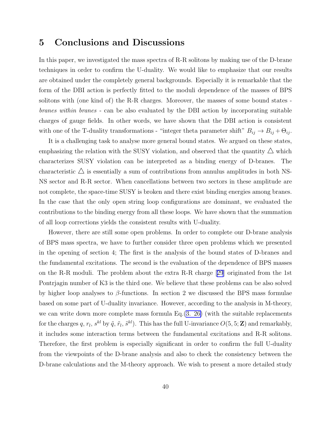## 5 Conclusions and Discussions

In this paper, we investigated the mass spectra of R-R solitons by making use of the D-brane techniques in order to confirm the U-duality. We would like to emphasize that our results are obtained under the completely general backgrounds. Especially it is remarkable that the form of the DBI action is perfectly fitted to the moduli dependence of the masses of BPS solitons with (one kind of) the R-R charges. Moreover, the masses of some bound states branes within branes - can be also evaluated by the DBI action by incorporating suitable charges of gauge fields. In other words, we have shown that the DBI action is consistent with one of the T-duality transformations - "integer theta parameter shift"  $B_{ij} \to B_{ij} + \Theta_{ij}$ .

It is a challenging task to analyse more general bound states. We argued on these states, emphasizing the relation with the SUSY violation, and observed that the quantity  $\triangle$  which characterizes SUSY violation can be interpreted as a binding energy of D-branes. The characteristic  $\triangle$  is essentially a sum of contributions from annulus amplitudes in both NS-NS sector and R-R sector. When cancellations between two sectors in these amplitude are not complete, the space-time SUSY is broken and there exist binding energies among branes. In the case that the only open string loop configurations are dominant, we evaluated the contributions to the binding energy from all these loops. We have shown that the summation of all loop corrections yields the consistent results with U-duality.

However, there are still some open problems. In order to complete our D-brane analysis of BPS mass spectra, we have to further consider three open problems which we presented in the opening of section 4; The first is the analysis of the bound states of D-branes and the fundamental excitations. The second is the evaluation of the dependence of BPS masses on the R-R moduli. The problem about the extra R-R charge[[29](#page-44-0)] originated from the 1st Pontrjagin number of K3 is the third one. We believe that these problems can be also solved by higher loop analyses to  $\beta$ -functions. In section 2 we discussed the BPS mass formulae based on some part of U-duality invariance. However, according to the analysis in M-theory, we can write down more complete mass formula Eq.[\(3. 26\)](#page-19-0) (with the suitable replacements for the charges q,  $r_l$ ,  $s^{kl}$  by  $\tilde{q}$ ,  $\tilde{r}_l$ ,  $\tilde{s}^{kl}$ ). This has the full U-invariance  $O(5, 5; \mathbf{Z})$  and remarkably, it includes some interaction terms between the fundamental excitations and R-R solitons. Therefore, the first problem is especially significant in order to confirm the full U-duality from the viewpoints of the D-brane analysis and also to check the consistency between the D-brane calculations and the M-theory approach. We wish to present a more detailed study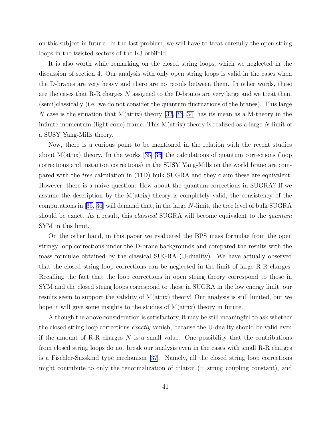on this subject in future. In the last problem, we will have to treat carefully the open string loops in the twisted sectors of the K3 orbifold.

It is also worth while remarking on the closed string loops, which we neglected in the discussion of section 4. Our analysis with only open string loops is valid in the cases when the D-branes are very heavy and there are no recoils between them. In other words, these are the cases that R-R charges N assigned to the D-branes are very large and we treat them (semi)classically (i.e. we do not consider the quantum fluctuations of the branes). This large N case is the situation that  $M(\text{atrix})$  theory [\[32](#page-44-0), [33](#page-44-0), [34](#page-44-0)] has its mean as a M-theory in the infinite momentum (light-cone) frame. This  $M(atrix)$  theory is realized as a large N limit of a SUSY Yang-Mills theory.

Now, there is a curious point to be mentioned in the relation with the recent studies about $M(\text{atrix})$  theory. In the works [[35, 36\]](#page-44-0) the calculations of quantum corrections (loop corrections and instanton corrections) in the SUSY Yang-Mills on the world brane are compared with the tree calculation in (11D) bulk SUGRA and they claim these are equivalent. However, there is a naive question: How about the quantum corrections in SUGRA? If we assume the description by the M(atrix) theory is completely valid, the consistency of the computations in[[35, 36\]](#page-44-0) will demand that, in the large N-limit, the tree level of bulk SUGRA should be exact. As a result, this *classical* SUGRA will become equivalent to the *quantum* SYM in this limit.

On the other hand, in this paper we evaluated the BPS mass formulae from the open stringy loop corrections under the D-brane backgrounds and compared the results with the mass formulae obtained by the classical SUGRA (U-duality). We have actually observed that the closed string loop corrections can be neglected in the limit of large R-R charges. Recalling the fact that the loop corrections in open string theory correspond to those in SYM and the closed string loops correspond to those in SUGRA in the low energy limit, our results seem to support the validity of M(atrix) theory! Our analysis is still limited, but we hope it will give some insights to the studies of  $M( \text{atrix})$  theory in future.

Although the above consideration is satisfactory, it may be still meaningful to ask whether the closed string loop corrections *exactly* vanish, because the U-duality should be valid even if the amount of R-R charges  $N$  is a small value. One possibility that the contributions from closed string loops do not break our analysis even in the cases with small R-R charges is a Fischler-Susskind type mechanism [\[37](#page-45-0)]. Namely, all the closed string loop corrections might contribute to only the renormalization of dilaton  $(=$  string coupling constant), and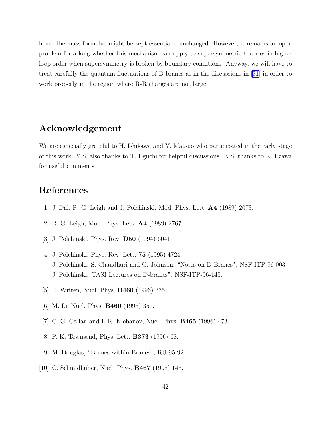<span id="page-42-0"></span>hence the mass formulae might be kept essentially unchanged. However, it remains an open problem for a long whether this mechanism can apply to supersymmetric theories in higher loop order when supersymmetry is broken by boundary conditions. Anyway, we will have to treat carefully the quantum fluctuations of D-branes as in the discussions in [\[31\]](#page-44-0) in order to work properly in the region where R-R charges are not large.

## Acknowledgement

We are especially grateful to H. Ishikawa and Y. Matsuo who participated in the early stage of this work. Y.S. also thanks to T. Eguchi for helpful discussions. K.S. thanks to K. Ezawa for useful comments.

## References

- [1] J. Dai, R. G. Leigh and J. Polchinski, Mod. Phys. Lett. A4 (1989) 2073.
- [2] R. G. Leigh, Mod. Phys. Lett. A4 (1989) 2767.
- [3] J. Polchinski, Phys. Rev. D50 (1994) 6041.
- [4] J. Polchinski, Phys. Rev. Lett. 75 (1995) 4724. J. Polchinski, S. Chaudhuri and C. Johnson, "Notes on D-Branes", NSF-ITP-96-003. J. Polchinski,"TASI Lectures on D-branes", NSF-ITP-96-145.
- [5] E. Witten, Nucl. Phys. B460 (1996) 335.
- [6] M. Li, Nucl. Phys. B460 (1996) 351.
- [7] C. G. Callan and I. R. Klebanov, Nucl. Phys. B465 (1996) 473.
- [8] P. K. Townsend, Phys. Lett. B373 (1996) 68.
- [9] M. Douglas, "Branes within Branes", RU-95-92.
- [10] C. Schmidhuber, Nucl. Phys. B467 (1996) 146.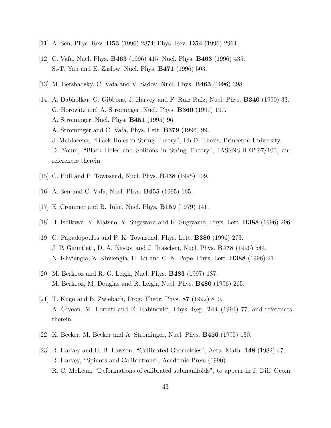- <span id="page-43-0"></span>[11] A. Sen, Phys. Rev. D53 (1996) 2874; Phys. Rev. D54 (1996) 2964.
- [12] C. Vafa, Nucl. Phys. B463 (1996) 415; Nucl. Phys. B463 (1996) 435. S.-T. Yau and E. Zaslow, Nucl. Phys. B471 (1996) 503.
- [13] M. Bershadsky, C. Vafa and V. Sadov, Nucl. Phys. B463 (1996) 398.
- [14] A. Dabholkar, G. Gibbons, J. Harvey and F. Ruiz Ruiz, Nucl. Phys. B340 (1990) 33. G. Horowitz and A. Strominger, Nucl. Phys. B360 (1991) 197. A. Strominger, Nucl. Phys. B451 (1995) 96. A. Strominger and C. Vafa, Phys. Lett. B379 (1996) 99. J. Maldacena, "Black Holes in String Theory", Ph.D. Thesis, Princeton University. D. Youm, "Black Holes and Solitons in String Theory", IASSNS-HEP-97/100, and references therein.
- [15] C. Hull and P. Townsend, Nucl. Phys. B438 (1995) 109.
- [16] A. Sen and C. Vafa, Nucl. Phys. B455 (1995) 165.
- [17] E. Cremmer and B. Julia, Nucl. Phys. B159 (1979) 141.
- [18] H. Ishikawa, Y. Matsuo, Y. Sugawara and K. Sugiyama, Phys. Lett. B388 (1996) 296.
- [19] G. Papadopoulos and P. K. Townsend, Phys. Lett. B380 (1996) 273. J. P. Gauntlett, D. A. Kastor and J. Traschen, Nucl. Phys. B478 (1996) 544. N. Khviengia, Z. Khviengia, H. Lu and C. N. Pope, Phys. Lett. B388 (1996) 21.
- [20] M. Berkooz and R. G. Leigh, Nucl. Phys. B483 (1997) 187. M. Berkooz, M. Douglas and R. Leigh, Nucl. Phys. B480 (1996) 265.
- [21] T. Kugo and B. Zwiebach, Prog. Theor. Phys. 87 (1992) 810. A. Giveon, M. Porrati and E. Rabinovici, Phys. Rep. 244 (1994) 77, and references therein.
- [22] K. Becker, M. Becker and A. Strominger, Nucl. Phys. B456 (1995) 130.
- [23] R. Harvey and H. B. Lawson, "Calibrated Geometries", Acta. Math. 148 (1982) 47. R. Harvey, "Spinors and Calibrations", Academic Press (1990). R. C. McLean, "Deformations of calibrated submanifolds", to appear in J. Diff. Geom.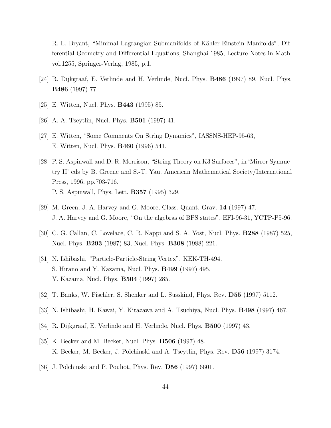<span id="page-44-0"></span>R. L. Bryant, "Minimal Lagrangian Submanifolds of Kähler-Einstein Manifolds", Differential Geometry and Differential Equations, Shanghai 1985, Lecture Notes in Math. vol.1255, Springer-Verlag, 1985, p.1.

- [24] R. Dijkgraaf, E. Verlinde and H. Verlinde, Nucl. Phys. B486 (1997) 89, Nucl. Phys. B486 (1997) 77.
- [25] E. Witten, Nucl. Phys. B443 (1995) 85.
- [26] A. A. Tseytlin, Nucl. Phys. B501 (1997) 41.
- [27] E. Witten, "Some Comments On String Dynamics", IASSNS-HEP-95-63, E. Witten, Nucl. Phys. B460 (1996) 541.
- [28] P. S. Aspinwall and D. R. Morrison, "String Theory on K3 Surfaces", in 'Mirror Symmetry II' eds by B. Greene and S.-T. Yau, American Mathematical Society/International Press, 1996, pp.703-716. P. S. Aspinwall, Phys. Lett. B357 (1995) 329.
- [29] M. Green, J. A. Harvey and G. Moore, Class. Quant. Grav. 14 (1997) 47. J. A. Harvey and G. Moore, "On the algebras of BPS states", EFI-96-31, YCTP-P5-96.
- [30] C. G. Callan, C. Lovelace, C. R. Nappi and S. A. Yost, Nucl. Phys. B288 (1987) 525, Nucl. Phys. B293 (1987) 83, Nucl. Phys. B308 (1988) 221.
- [31] N. Ishibashi, "Particle-Particle-String Vertex", KEK-TH-494. S. Hirano and Y. Kazama, Nucl. Phys. B499 (1997) 495. Y. Kazama, Nucl. Phys. B504 (1997) 285.
- [32] T. Banks, W. Fischler, S. Shenker and L. Susskind, Phys. Rev. D55 (1997) 5112.
- [33] N. Ishibashi, H. Kawai, Y. Kitazawa and A. Tsuchiya, Nucl. Phys. B498 (1997) 467.
- [34] R. Dijkgraaf, E. Verlinde and H. Verlinde, Nucl. Phys. B500 (1997) 43.
- [35] K. Becker and M. Becker, Nucl. Phys. B506 (1997) 48. K. Becker, M. Becker, J. Polchinski and A. Tseytlin, Phys. Rev. D56 (1997) 3174.
- [36] J. Polchinski and P. Pouliot, Phys. Rev. D56 (1997) 6601.